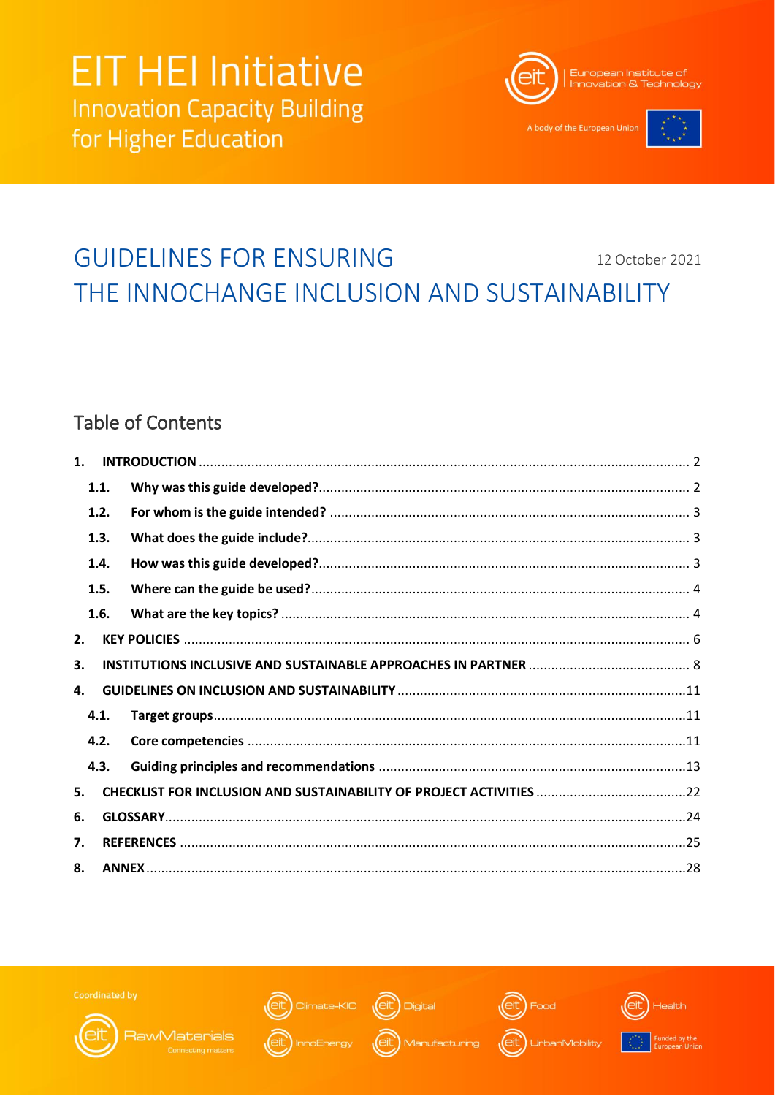

A body of the European Unio



### **GUIDELINES FOR ENSURING** 12 October 2021 THE INNOCHANGE INCLUSION AND SUSTAINABILITY

## **Table of Contents**

| $\mathbf{1}$ . |      |  |  |  |  |  |  |
|----------------|------|--|--|--|--|--|--|
|                | 1.1. |  |  |  |  |  |  |
|                | 1.2. |  |  |  |  |  |  |
|                | 1.3. |  |  |  |  |  |  |
|                | 1.4. |  |  |  |  |  |  |
|                | 1.5. |  |  |  |  |  |  |
|                | 1.6. |  |  |  |  |  |  |
| 2.             |      |  |  |  |  |  |  |
| 3.             |      |  |  |  |  |  |  |
| 4.             |      |  |  |  |  |  |  |
|                | 4.1. |  |  |  |  |  |  |
|                | 4.2. |  |  |  |  |  |  |
|                | 4.3. |  |  |  |  |  |  |
| 5.             |      |  |  |  |  |  |  |
| 6.             |      |  |  |  |  |  |  |
| 7.             |      |  |  |  |  |  |  |
| 8.             |      |  |  |  |  |  |  |



**RawMaterials** 







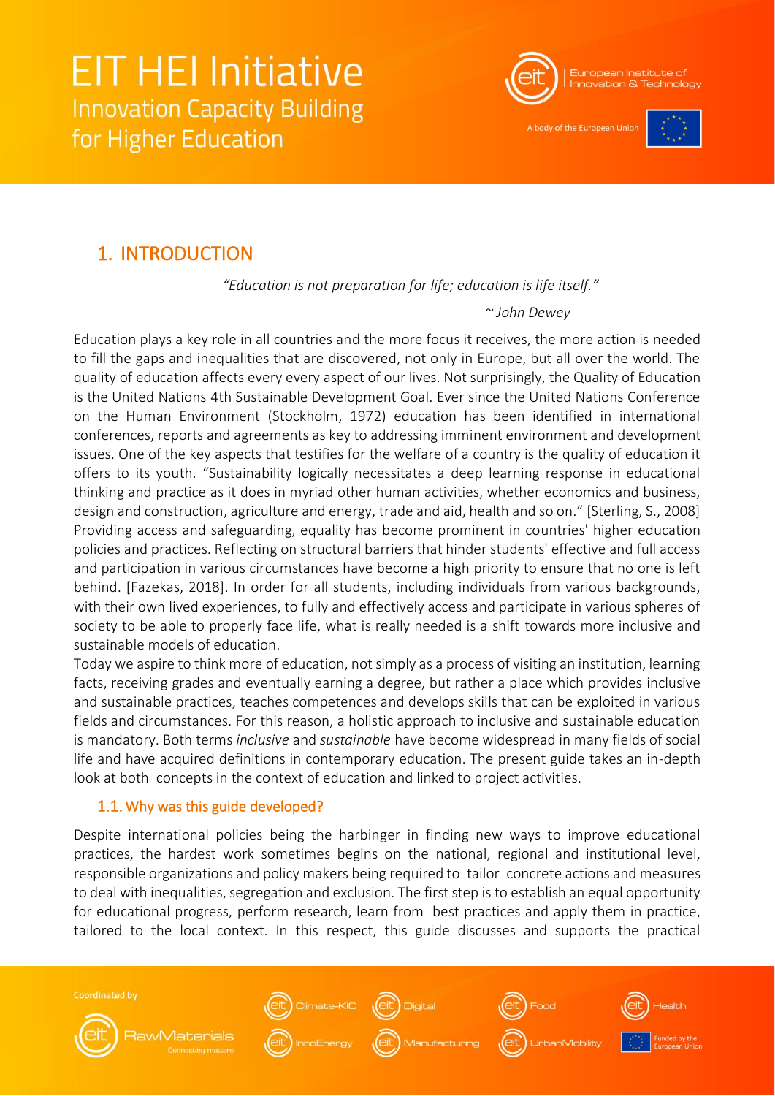

A body of the European Uni



## <span id="page-1-0"></span>1. INTRODUCTION

*"Education is not preparation for life; education is life itself."*

*~ John Dewey*

Education plays a key role in all countries and the more focus it receives, the more action is needed to fill the gaps and inequalities that are discovered, not only in Europe, but all over the world. The quality of education affects every every aspect of our lives. Not surprisingly, the Quality of Education is the United Nations 4th Sustainable Development Goal. Ever since the United Nations Conference on the Human Environment (Stockholm, 1972) education has been identified in international conferences, reports and agreements as key to addressing imminent environment and development issues. One of the key aspects that testifies for the welfare of a country is the quality of education it offers to its youth. "Sustainability logically necessitates a deep learning response in educational thinking and practice as it does in myriad other human activities, whether economics and business, design and construction, agriculture and energy, trade and aid, health and so on." [Sterling, S., 2008] Providing access and safeguarding, equality has become prominent in countries' higher education policies and practices. Reflecting on structural barriers that hinder students' effective and full access and participation in various circumstances have become a high priority to ensure that no one is left behind. [Fazekas, 2018]. In order for all students, including individuals from various backgrounds, with their own lived experiences, to fully and effectively access and participate in various spheres of society to be able to properly face life, what is really needed is a shift towards more inclusive and sustainable models of education.

Today we aspire to think more of education, not simply as a process of visiting an institution, learning facts, receiving grades and eventually earning a degree, but rather a place which provides inclusive and sustainable practices, teaches competences and develops skills that can be exploited in various fields and circumstances. For this reason, a holistic approach to inclusive and sustainable education is mandatory. Both terms *inclusive* and *sustainable* have become widespread in many fields of social life and have acquired definitions in contemporary education. The present guide takes an in-depth look at both concepts in the context of education and linked to project activities.

### <span id="page-1-1"></span>1.1. Why was this guide developed?

**RawMaterials** 

**Coordinated by** 

Despite international policies being the harbinger in finding new ways to improve educational practices, the hardest work sometimes begins on the national, regional and institutional level, responsible organizations and policy makers being required to tailor concrete actions and measures to deal with inequalities, segregation and exclusion. The first step is to establish an equal opportunity for educational progress, perform research, learn from best practices and apply them in practice, tailored to the local context. In this respect, this guide discusses and supports the practical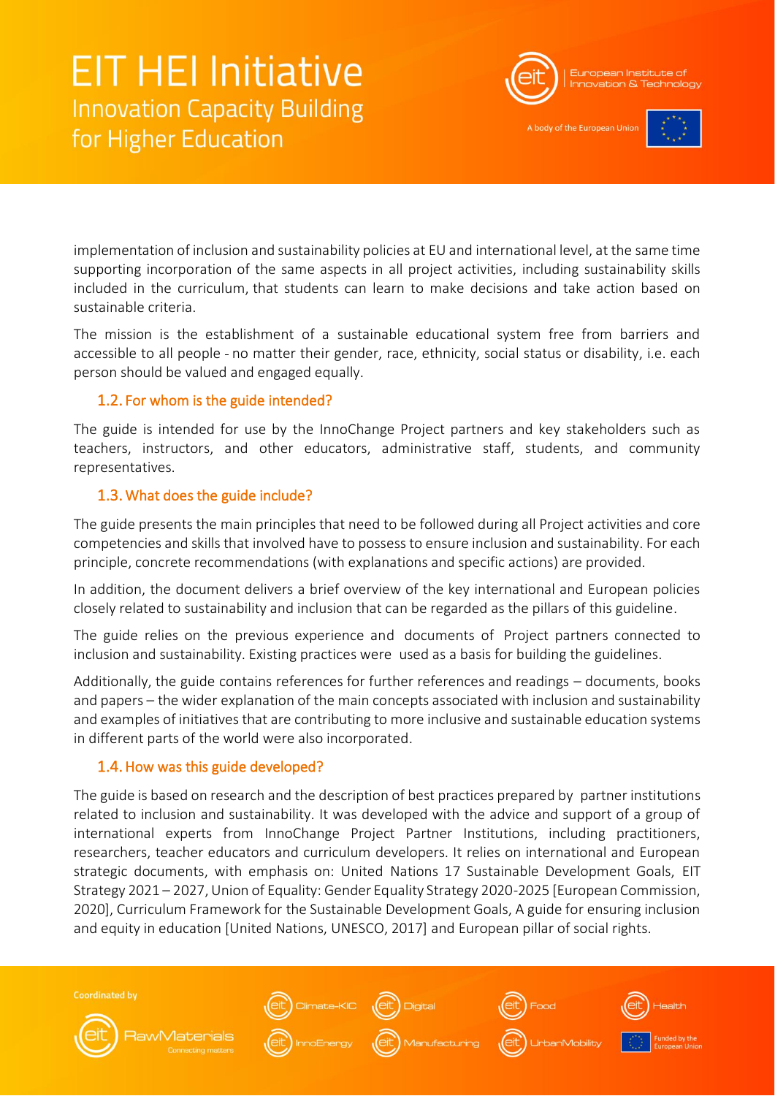

A body of the European Uni



implementation of inclusion and sustainability policies at EU and international level, at the same time supporting incorporation of the same aspects in all project activities, including sustainability skills included in the curriculum, that students can learn to make decisions and take action based on sustainable criteria.

The mission is the establishment of a sustainable educational system free from barriers and accessible to all people - no matter their gender, race, ethnicity, social status or disability, i.e. each person should be valued and engaged equally.

### <span id="page-2-0"></span>1.2. For whom is the guide intended?

The guide is intended for use by the InnoChange Project partners and key stakeholders such as teachers, instructors, and other educators, administrative staff, students, and community representatives.

### <span id="page-2-1"></span>1.3. What does the guide include?

The guide presents the main principles that need to be followed during all Project activities and core competencies and skills that involved have to possess to ensure inclusion and sustainability. For each principle, concrete recommendations (with explanations and specific actions) are provided.

In addition, the document delivers a brief overview of the key international and European policies closely related to sustainability and inclusion that can be regarded as the pillars of this guideline.

The guide relies on the previous experience and documents of Project partners connected to inclusion and sustainability. Existing practices were used as a basis for building the guidelines.

Additionally, the guide contains references for further references and readings – documents, books and papers – the wider explanation of the main concepts associated with inclusion and sustainability and examples of initiatives that are contributing to more inclusive and sustainable education systems in different parts of the world were also incorporated.

### <span id="page-2-2"></span>1.4. How was this guide developed?

The guide is based on research and the description of best practices prepared by partner institutions related to inclusion and sustainability. It was developed with the advice and support of a group of international experts from InnoChange Project Partner Institutions, including practitioners, researchers, teacher educators and curriculum developers. It relies on international and European strategic documents, with emphasis on: United Nations 17 Sustainable Development Goals, EIT Strategy 2021 – 2027, Union of Equality: Gender Equality Strategy 2020-2025 [European Commission, 2020], Curriculum Framework for the Sustainable Development Goals, A guide for ensuring inclusion and equity in education [United Nations, UNESCO, 2017] and European pillar of social rights.

**Coordinated by** ate-KIC (eit **RawMaterials**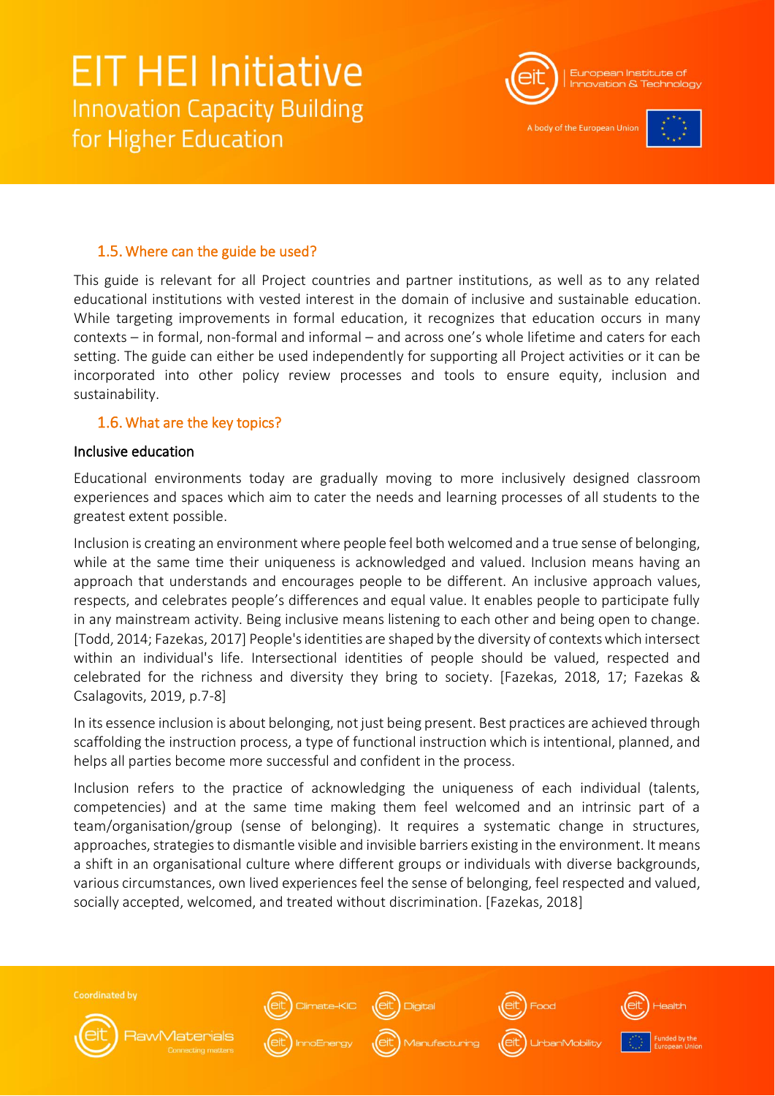

A body of the European Uni



### <span id="page-3-0"></span>1.5. Where can the guide be used?

This guide is relevant for all Project countries and partner institutions, as well as to any related educational institutions with vested interest in the domain of inclusive and sustainable education. While targeting improvements in formal education, it recognizes that education occurs in many contexts – in formal, non-formal and informal – and across one's whole lifetime and caters for each setting. The guide can either be used independently for supporting all Project activities or it can be incorporated into other policy review processes and tools to ensure equity, inclusion and sustainability.

### <span id="page-3-1"></span>1.6. What are the key topics?

#### Inclusive education

Educational environments today are gradually moving to more inclusively designed classroom experiences and spaces which aim to cater the needs and learning processes of all students to the greatest extent possible.

Inclusion is creating an environment where people feel both welcomed and a true sense of belonging, while at the same time their uniqueness is acknowledged and valued. Inclusion means having an approach that understands and encourages people to be different. An inclusive approach values, respects, and celebrates people's differences and equal value. It enables people to participate fully in any mainstream activity. Being inclusive means listening to each other and being open to change. [Todd, 2014; Fazekas, 2017] People's identities are shaped by the diversity of contexts which intersect within an individual's life. Intersectional identities of people should be valued, respected and celebrated for the richness and diversity they bring to society. [Fazekas, 2018, 17; Fazekas & Csalagovits, 2019, p.7-8]

In its essence inclusion is about belonging, not just being present. Best practices are achieved through scaffolding the instruction process, a type of functional instruction which is intentional, planned, and helps all parties become more successful and confident in the process.

Inclusion refers to the practice of acknowledging the uniqueness of each individual (talents, competencies) and at the same time making them feel welcomed and an intrinsic part of a team/organisation/group (sense of belonging). It requires a systematic change in structures, approaches, strategies to dismantle visible and invisible barriers existing in the environment. It means a shift in an organisational culture where different groups or individuals with diverse backgrounds, various circumstances, own lived experiences feel the sense of belonging, feel respected and valued, socially accepted, welcomed, and treated without discrimination. [Fazekas, 2018]

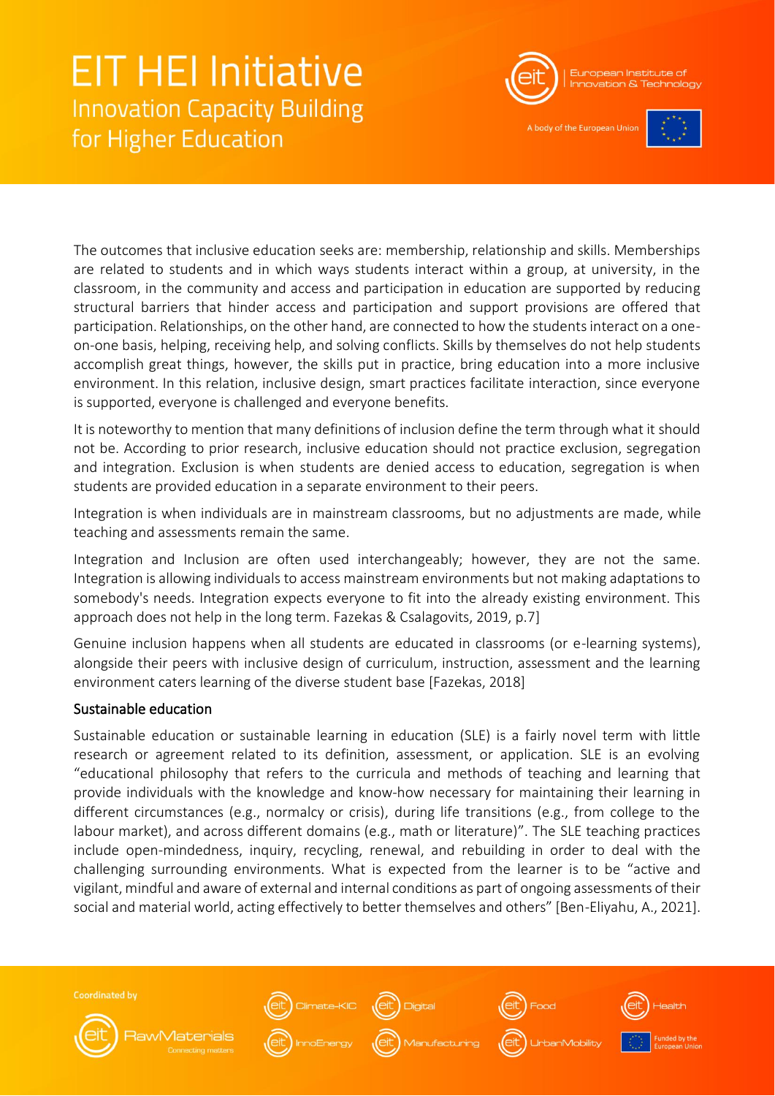

A body of the European Uni



The outcomes that inclusive education seeks are: membership, relationship and skills. Memberships are related to students and in which ways students interact within a group, at university, in the classroom, in the community and access and participation in education are supported by reducing structural barriers that hinder access and participation and support provisions are offered that participation. Relationships, on the other hand, are connected to how the students interact on a oneon-one basis, helping, receiving help, and solving conflicts. Skills by themselves do not help students accomplish great things, however, the skills put in practice, bring education into a more inclusive environment. In this relation, inclusive design, smart practices facilitate interaction, since everyone is supported, everyone is challenged and everyone benefits.

It is noteworthy to mention that many definitions of inclusion define the term through what it should not be. According to prior research, inclusive education should not practice exclusion, segregation and integration. Exclusion is when students are denied access to education, segregation is when students are provided education in a separate environment to their peers.

Integration is when individuals are in mainstream classrooms, but no adjustments are made, while teaching and assessments remain the same.

Integration and Inclusion are often used interchangeably; however, they are not the same. Integration is allowing individuals to access mainstream environments but not making adaptations to somebody's needs. Integration expects everyone to fit into the already existing environment. This approach does not help in the long term. Fazekas & Csalagovits, 2019, p.7]

Genuine inclusion happens when all students are educated in classrooms (or e-learning systems), alongside their peers with inclusive design of curriculum, instruction, assessment and the learning environment caters learning of the diverse student base [Fazekas, 2018]

### Sustainable education

Sustainable education or sustainable learning in education (SLE) is a fairly novel term with little research or agreement related to its definition, assessment, or application. SLE is an evolving "educational philosophy that refers to the curricula and methods of teaching and learning that provide individuals with the knowledge and know-how necessary for maintaining their learning in different circumstances (e.g., normalcy or crisis), during life transitions (e.g., from college to the labour market), and across different domains (e.g., math or literature)". The SLE teaching practices include open-mindedness, inquiry, recycling, renewal, and rebuilding in order to deal with the challenging surrounding environments. What is expected from the learner is to be "active and vigilant, mindful and aware of external and internal conditions as part of ongoing assessments of their social and material world, acting effectively to better themselves and others" [Ben-Eliyahu, A., 2021].

**Coordinated by** 











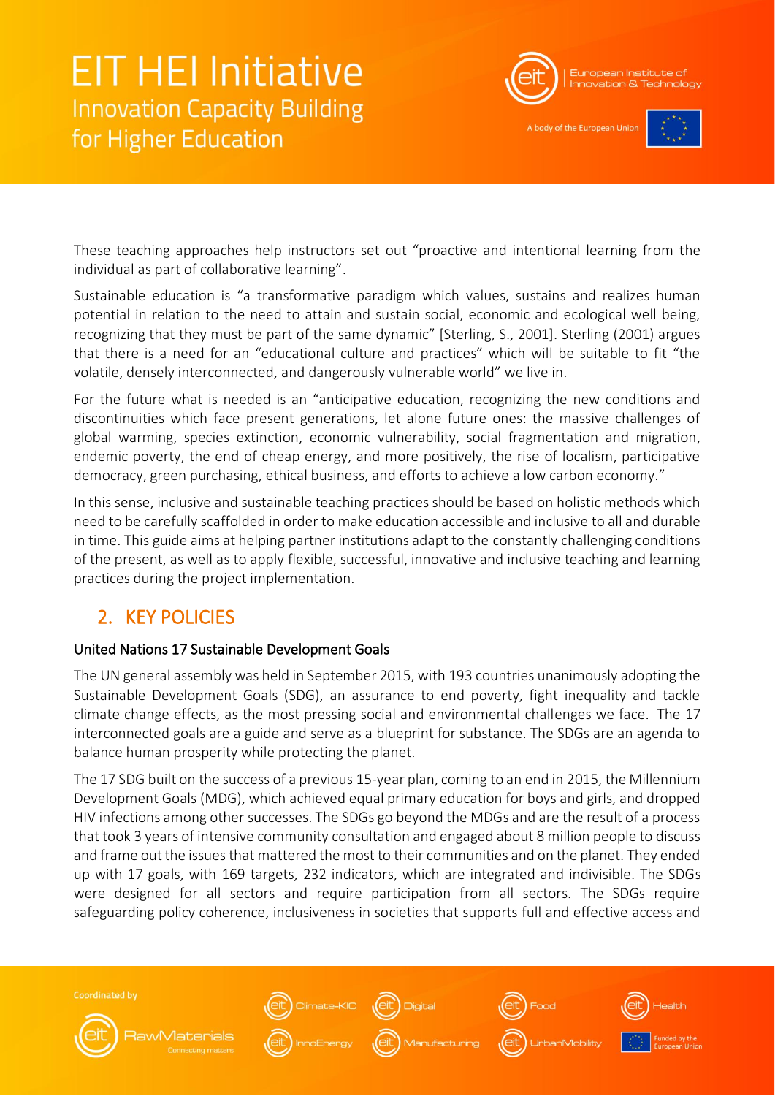

A body of the European Uni



These teaching approaches help instructors set out "proactive and intentional learning from the individual as part of collaborative learning".

Sustainable education is "a transformative paradigm which values, sustains and realizes human potential in relation to the need to attain and sustain social, economic and ecological well being, recognizing that they must be part of the same dynamic" [Sterling, S., 2001]. Sterling (2001) argues that there is a need for an "educational culture and practices" which will be suitable to fit "the volatile, densely interconnected, and dangerously vulnerable world" we live in.

For the future what is needed is an "anticipative education, recognizing the new conditions and discontinuities which face present generations, let alone future ones: the massive challenges of global warming, species extinction, economic vulnerability, social fragmentation and migration, endemic poverty, the end of cheap energy, and more positively, the rise of localism, participative democracy, green purchasing, ethical business, and efforts to achieve a low carbon economy."

In this sense, inclusive and sustainable teaching practices should be based on holistic methods which need to be carefully scaffolded in order to make education accessible and inclusive to all and durable in time. This guide aims at helping partner institutions adapt to the constantly challenging conditions of the present, as well as to apply flexible, successful, innovative and inclusive teaching and learning practices during the project implementation.

## <span id="page-5-0"></span>2. KEY POLICIES

### United Nations 17 Sustainable Development Goals

The UN general assembly was held in September 2015, with 193 countries unanimously adopting the Sustainable Development Goals (SDG), an assurance to end poverty, fight inequality and tackle climate change effects, as the most pressing social and environmental challenges we face. The 17 interconnected goals are a guide and serve as a blueprint for substance. The SDGs are an agenda to balance human prosperity while protecting the planet.

The 17 SDG built on the success of a previous 15-year plan, coming to an end in 2015, the Millennium Development Goals (MDG), which achieved equal primary education for boys and girls, and dropped HIV infections among other successes. The SDGs go beyond the MDGs and are the result of a process that took 3 years of intensive community consultation and engaged about 8 million people to discuss and frame out the issues that mattered the most to their communities and on the planet. They ended up with 17 goals, with 169 targets, 232 indicators, which are integrated and indivisible. The SDGs were designed for all sectors and require participation from all sectors. The SDGs require safeguarding policy coherence, inclusiveness in societies that supports full and effective access and

**Coordinated by RawMaterials**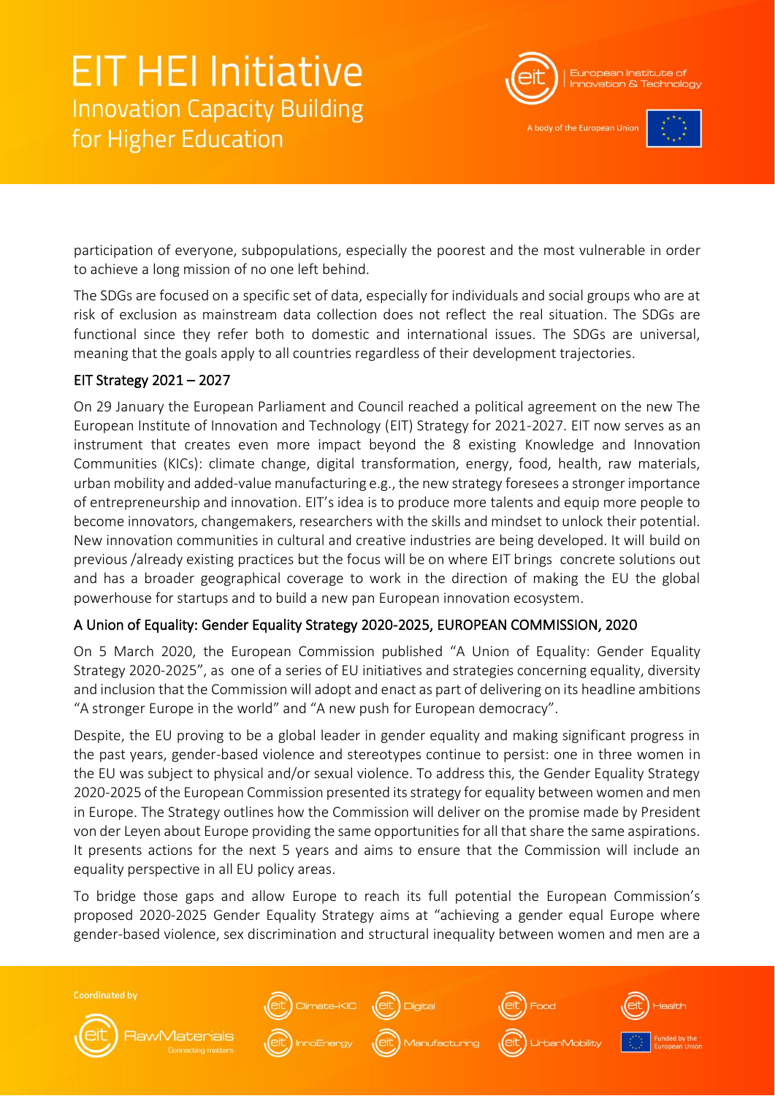

A body of the European Uni



participation of everyone, subpopulations, especially the poorest and the most vulnerable in order to achieve a long mission of no one left behind.

The SDGs are focused on a specific set of data, especially for individuals and social groups who are at risk of exclusion as mainstream data collection does not reflect the real situation. The SDGs are functional since they refer both to domestic and international issues. The SDGs are universal, meaning that the goals apply to all countries regardless of their development trajectories.

### EIT Strategy 2021 – 2027

On 29 January the European Parliament and Council reached a political agreement on the new The European Institute of Innovation and Technology (EIT) Strategy for 2021-2027. EIT now serves as an instrument that creates even more impact beyond the 8 existing Knowledge and Innovation Communities (KICs): climate change, digital transformation, energy, food, health, raw materials, urban mobility and added-value manufacturing e.g., the new strategy foresees a stronger importance of entrepreneurship and innovation. EIT's idea is to produce more talents and equip more people to become innovators, changemakers, researchers with the skills and mindset to unlock their potential. New innovation communities in cultural and creative industries are being developed. It will build on previous /already existing practices but the focus will be on where EIT brings concrete solutions out and has a broader geographical coverage to work in the direction of making the EU the global powerhouse for startups and to build a new pan European innovation ecosystem.

### A Union of Equality: Gender Equality Strategy 2020-2025, EUROPEAN COMMISSION, 2020

On 5 March 2020, the European Commission published "A Union of Equality: Gender Equality Strategy 2020-2025", as one of a series of EU initiatives and strategies concerning equality, diversity and inclusion that the Commission will adopt and enact as part of delivering on its headline ambitions "A stronger Europe in the world" and "A new push for European democracy".

Despite, the EU proving to be a global leader in gender equality and making significant progress in the past years, gender-based violence and stereotypes continue to persist: one in three women in the EU was subject to physical and/or sexual violence. To address this, the Gender Equality Strategy 2020-2025 of the European Commission presented its strategy for equality between women and men in Europe. The Strategy outlines how the Commission will deliver on the promise made by President von der Leyen about Europe providing the same opportunities for all that share the same aspirations. It presents actions for the next 5 years and aims to ensure that the Commission will include an equality perspective in all EU policy areas.

To bridge those gaps and allow Europe to reach its full potential the European Commission's proposed 2020-2025 Gender Equality Strategy aims at "achieving a gender equal Europe where gender-based violence, sex discrimination and structural inequality between women and men are a

**Coordinated by RawMaterials**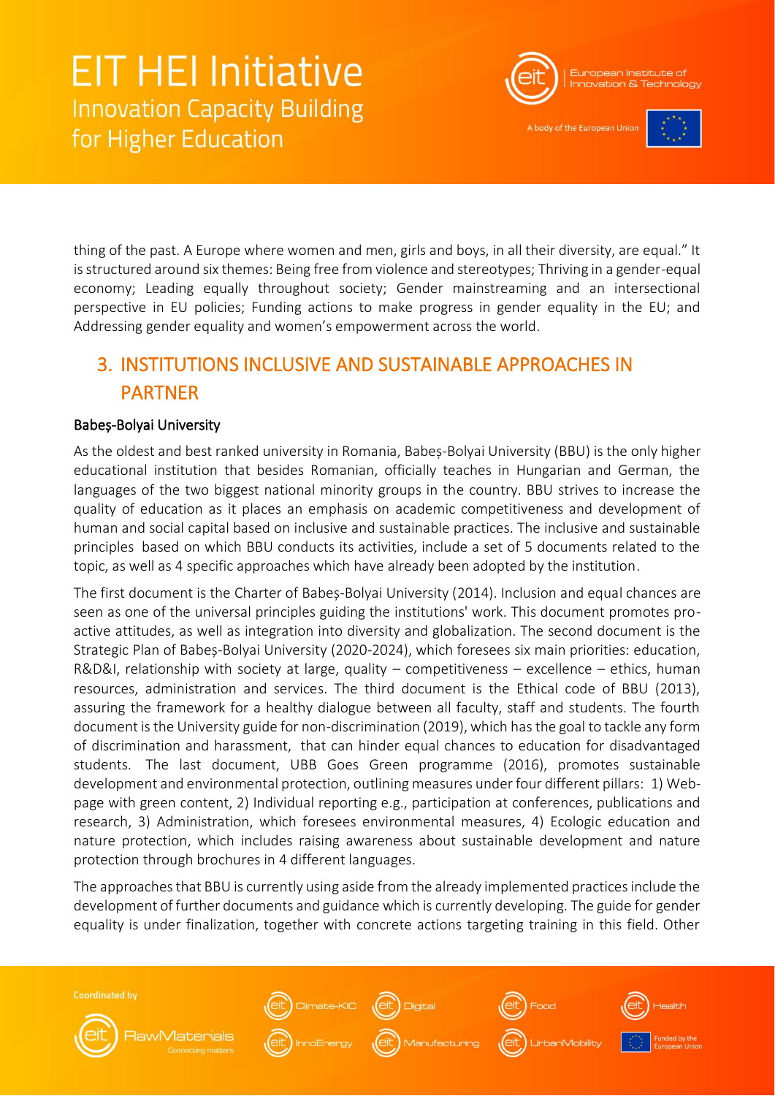

A body of the European Uni-



thing of the past. A Europe where women and men, girls and boys, in all their diversity, are equal." It is structured around six themes: Being free from violence and stereotypes; Thriving in a gender-equal economy; Leading equally throughout society; Gender mainstreaming and an intersectional perspective in EU policies; Funding actions to make progress in gender equality in the EU; and Addressing gender equality and women's empowerment across the world.

## <span id="page-7-0"></span>3. INSTITUTIONS INCLUSIVE AND SUSTAINABLE APPROACHES IN PARTNER

### Babeș-Bolyai University

As the oldest and best ranked university in Romania, Babeș-Bolyai University (BBU) is the only higher educational institution that besides Romanian, officially teaches in Hungarian and German, the languages of the two biggest national minority groups in the country. BBU strives to increase the quality of education as it places an emphasis on academic competitiveness and development of human and social capital based on inclusive and sustainable practices. The inclusive and sustainable principles based on which BBU conducts its activities, include a set of 5 documents related to the topic, as well as 4 specific approaches which have already been adopted by the institution.

The first document is the Charter of Babeș-Bolyai University (2014). Inclusion and equal chances are seen as one of the universal principles guiding the institutions' work. This document promotes proactive attitudes, as well as integration into diversity and globalization. The second document is the Strategic Plan of Babeș-Bolyai University (2020-2024), which foresees six main priorities: education, R&D&I, relationship with society at large, quality – competitiveness – excellence – ethics, human resources, administration and services. The third document is the Ethical code of BBU (2013), assuring the framework for a healthy dialogue between all faculty, staff and students. The fourth document is the University guide for non-discrimination (2019), which has the goal to tackle any form of discrimination and harassment, that can hinder equal chances to education for disadvantaged students. The last document, UBB Goes Green programme (2016), promotes sustainable development and environmental protection, outlining measures under four different pillars: 1) Webpage with green content, 2) Individual reporting e.g., participation at conferences, publications and research, 3) Administration, which foresees environmental measures, 4) Ecologic education and nature protection, which includes raising awareness about sustainable development and nature protection through brochures in 4 different languages.

The approaches that BBU is currently using aside from the already implemented practices include the development of further documents and guidance which is currently developing. The guide for gender equality is under finalization, together with concrete actions targeting training in this field. Other

**Coordinated by** 



**RawMaterials** 











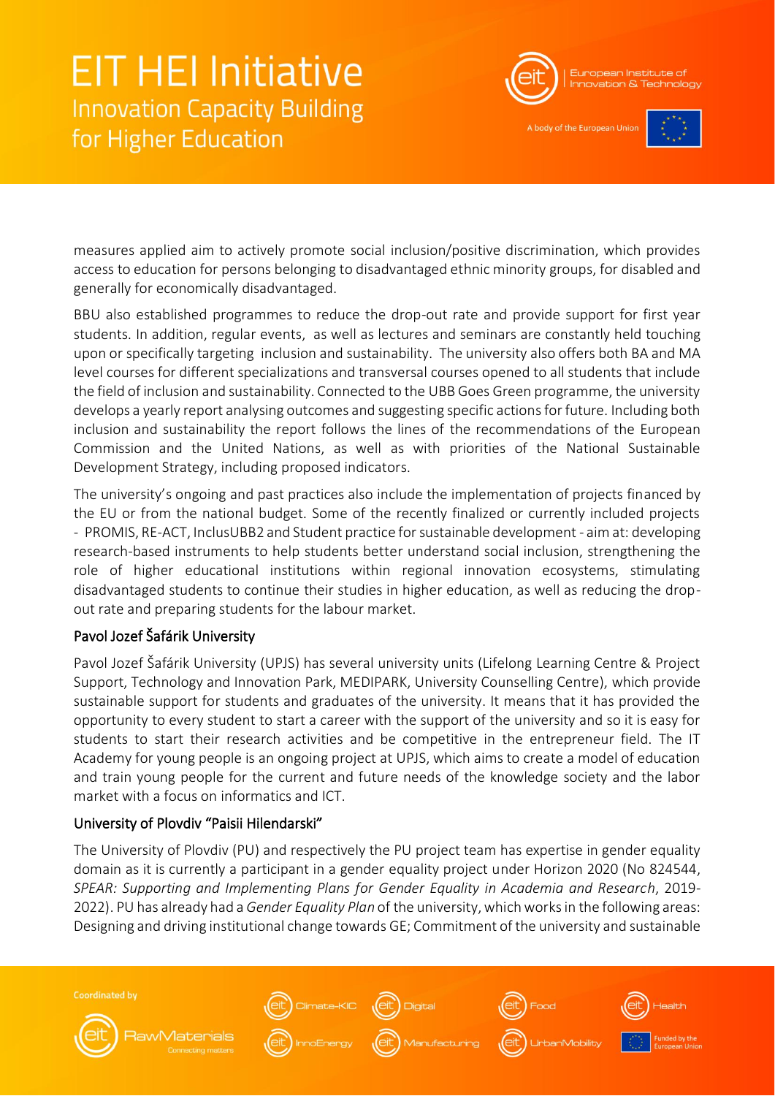

A body of the European Uni



measures applied aim to actively promote social inclusion/positive discrimination, which provides access to education for persons belonging to disadvantaged ethnic minority groups, for disabled and generally for economically disadvantaged.

BBU also established programmes to reduce the drop-out rate and provide support for first year students. In addition, regular events, as well as lectures and seminars are constantly held touching upon or specifically targeting inclusion and sustainability. The university also offers both BA and MA level courses for different specializations and transversal courses opened to all students that include the field of inclusion and sustainability. Connected to the UBB Goes Green programme, the university develops a yearly report analysing outcomes and suggesting specific actions for future. Including both inclusion and sustainability the report follows the lines of the recommendations of the European Commission and the United Nations, as well as with priorities of the National Sustainable Development Strategy, including proposed indicators.

The university's ongoing and past practices also include the implementation of projects financed by the EU or from the national budget. Some of the recently finalized or currently included projects - PROMIS, RE-ACT, InclusUBB2 and Student practice for sustainable development - aim at: developing research-based instruments to help students better understand social inclusion, strengthening the role of higher educational institutions within regional innovation ecosystems, stimulating disadvantaged students to continue their studies in higher education, as well as reducing the dropout rate and preparing students for the labour market.

### Pavol Jozef Šafárik University

Pavol Jozef Šafárik University (UPJS) has several university units (Lifelong Learning Centre & Project Support, Technology and Innovation Park, MEDIPARK, University Counselling Centre), which provide sustainable support for students and graduates of the university. It means that it has provided the opportunity to every student to start a career with the support of the university and so it is easy for students to start their research activities and be competitive in the entrepreneur field. The IT Academy for young people is an ongoing project at UPJS, which aims to create a model of education and train young people for the current and future needs of the knowledge society and the labor market with a focus on informatics and ICT.

### University of Plovdiv "Paisii Hilendarski"

**RawMaterials** 

**Coordinated by** 

The University of Plovdiv (PU) and respectively the PU project team has expertise in gender equality domain as it is currently a participant in a gender equality project under Horizon 2020 (No 824544, *SPEAR: Supporting and Implementing Plans for Gender Equality in Academia and Research*, 2019- 2022). PU has already had a *Gender Equality Plan* of the university, which works in the following areas: Designing and driving institutional change towards GE; Commitment of the university and sustainable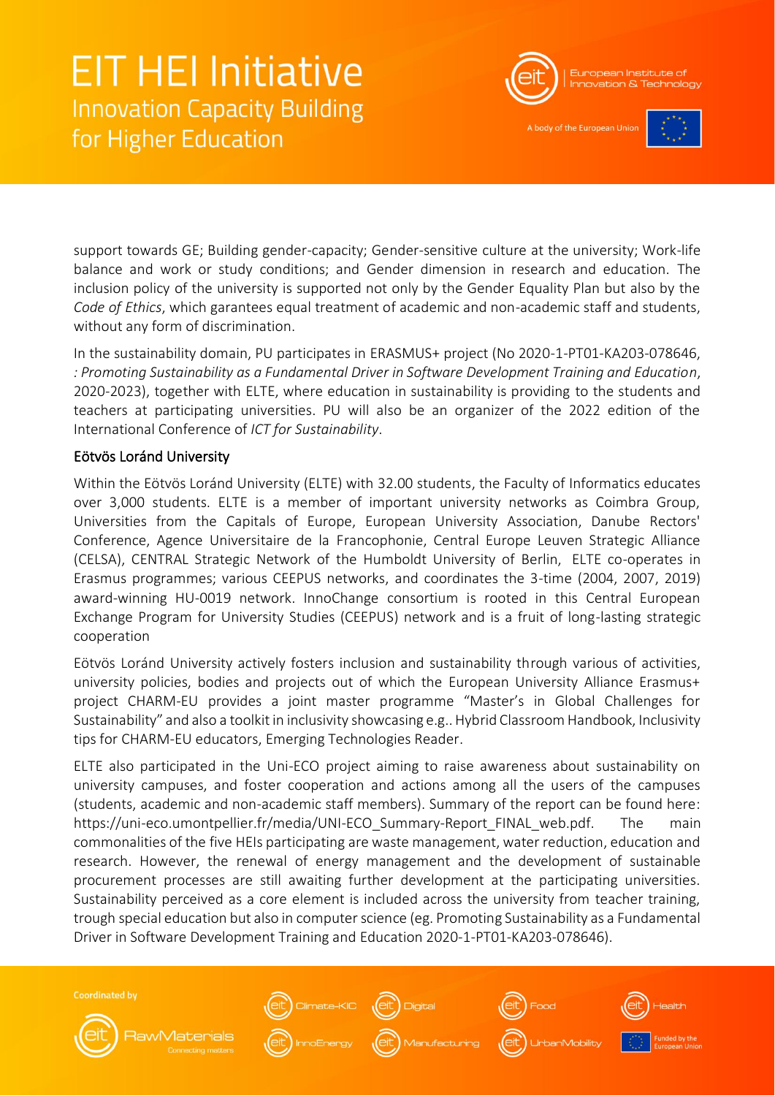

A body of the European Uni-



support towards GE; Building gender-capacity; Gender-sensitive culture at the university; Work-life balance and work or study conditions; and Gender dimension in research and education. The inclusion policy of the university is supported not only by the Gender Equality Plan but also by the *Code of Ethics*, which garantees equal treatment of academic and non-academic staff and students, without any form of discrimination.

In the sustainability domain, PU participates in ERASMUS+ project (No 2020-1-PT01-KA203-078646, *: Promoting Sustainability as a Fundamental Driver in Software Development Training and Education*, 2020-2023), together with ELTE, where education in sustainability is providing to the students and teachers at participating universities. PU will also be an organizer of the 2022 edition of the International Conference of *ICT for Sustainability*.

### Eötvös Loránd University

Within the Eötvös Loránd University (ELTE) with 32.00 students, the Faculty of Informatics educates over 3,000 students. ELTE is a member of important university networks as Coimbra Group, Universities from the Capitals of Europe, European University Association, Danube Rectors' Conference, Agence Universitaire de la Francophonie, Central Europe Leuven Strategic Alliance (CELSA), CENTRAL Strategic Network of the Humboldt University of Berlin, ELTE co-operates in Erasmus programmes; various CEEPUS networks, and coordinates the 3-time (2004, 2007, 2019) award-winning HU-0019 network. InnoChange consortium is rooted in this Central European Exchange Program for University Studies (CEEPUS) network and is a fruit of long-lasting strategic cooperation

Eötvös Loránd University actively fosters inclusion and sustainability through various of activities, university policies, bodies and projects out of which the European University Alliance Erasmus+ project CHARM-EU provides a joint master programme "Master's in Global Challenges for Sustainability" and also a toolkit in inclusivity showcasing e.g.. Hybrid Classroom Handbook, Inclusivity tips for CHARM-EU educators, Emerging Technologies Reader.

ELTE also participated in the Uni-ECO project aiming to raise awareness about sustainability on university campuses, and foster cooperation and actions among all the users of the campuses (students, academic and non-academic staff members). Summary of the report can be found here: https://uni-eco.umontpellier.fr/media/UNI-ECO\_Summary-Report\_FINAL\_web.pdf. The main commonalities of the five HEIs participating are waste management, water reduction, education and research. However, the renewal of energy management and the development of sustainable procurement processes are still awaiting further development at the participating universities. Sustainability perceived as a core element is included across the university from teacher training, trough special education but also in computer science (eg. Promoting Sustainability as a Fundamental Driver in Software Development Training and Education 2020-1-PT01-KA203-078646).



**Coordinated by** 

**RawMaterials** 









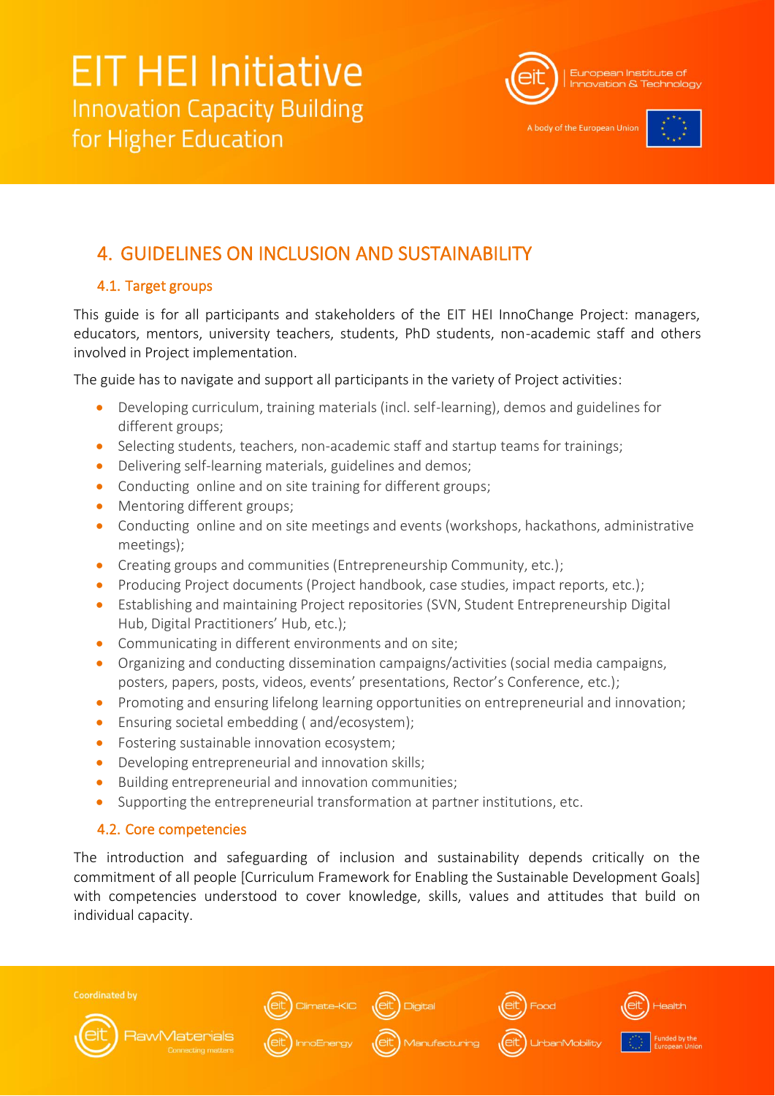

A body of the European Unio



## <span id="page-10-0"></span>4. GUIDELINES ON INCLUSION AND SUSTAINABILITY

### <span id="page-10-1"></span>4.1. Target groups

This guide is for all participants and stakeholders of the EIT HEI InnoChange Project: managers, educators, mentors, university teachers, students, PhD students, non-academic staff and others involved in Project implementation.

The guide has to navigate and support all participants in the variety of Project activities:

- Developing curriculum, training materials (incl. self-learning), demos and guidelines for different groups;
- Selecting students, teachers, non-academic staff and startup teams for trainings;
- Delivering self-learning materials, guidelines and demos;
- Conducting online and on site training for different groups;
- Mentoring different groups;
- Conducting online and on site meetings and events (workshops, hackathons, administrative meetings);
- Creating groups and communities (Entrepreneurship Community, etc.);
- Producing Project documents (Project handbook, case studies, impact reports, etc.);
- Establishing and maintaining Project repositories (SVN, Student Entrepreneurship Digital Hub, Digital Practitioners' Hub, etc.);
- Communicating in different environments and on site;
- Organizing and conducting dissemination campaigns/activities (social media campaigns, posters, papers, posts, videos, events' presentations, Rector's Conference, etc.);
- Promoting and ensuring lifelong learning opportunities on entrepreneurial and innovation;
- Ensuring societal embedding (and/ecosystem);
- Fostering sustainable innovation ecosystem;
- Developing entrepreneurial and innovation skills;
- Building entrepreneurial and innovation communities;
- Supporting the entrepreneurial transformation at partner institutions, etc.

### <span id="page-10-2"></span>4.2. Core competencies

The introduction and safeguarding of inclusion and sustainability depends critically on the commitment of all people [Curriculum Framework for Enabling the Sustainable Development Goals] with competencies understood to cover knowledge, skills, values and attitudes that build on individual capacity.

**Coordinated by** 



**RawMaterials** 









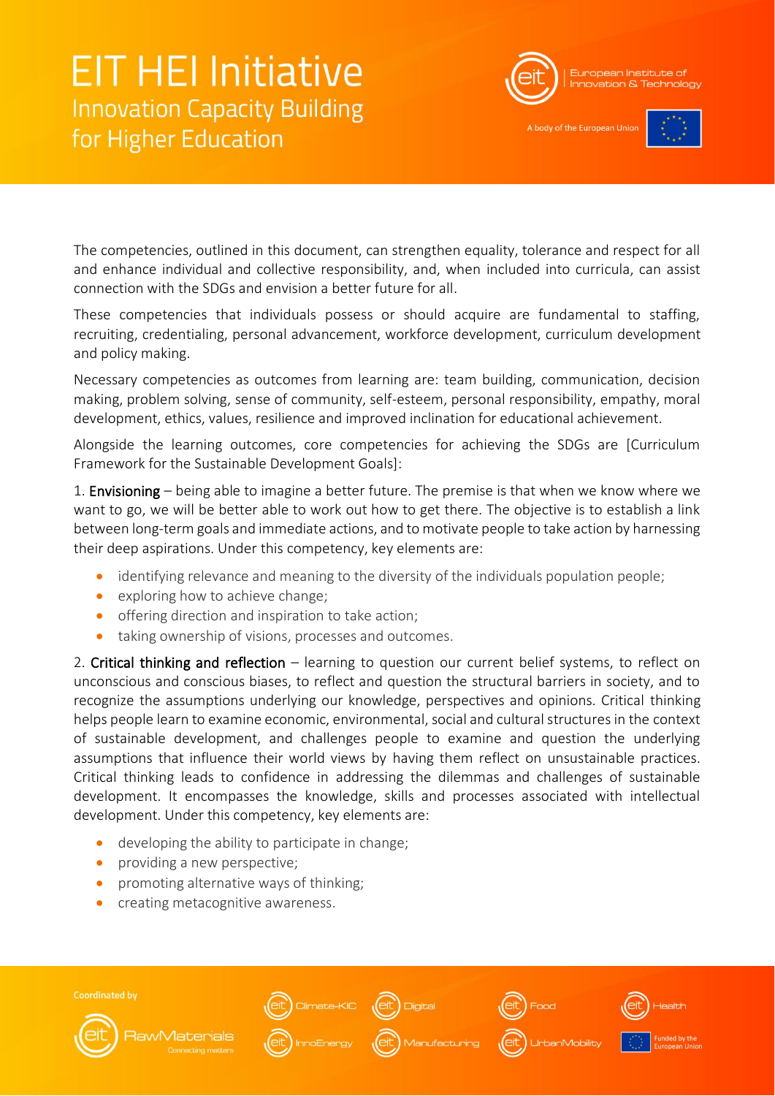

A body of the European Uni



The competencies, outlined in this document, can strengthen equality, tolerance and respect for all and enhance individual and collective responsibility, and, when included into curricula, can assist connection with the SDGs and envision a better future for all.

These competencies that individuals possess or should acquire are fundamental to staffing, recruiting, credentialing, personal advancement, workforce development, curriculum development and policy making.

Necessary competencies as outcomes from learning are: team building, communication, decision making, problem solving, sense of community, self-esteem, personal responsibility, empathy, moral development, ethics, values, resilience and improved inclination for educational achievement.

Alongside the learning outcomes, core competencies for achieving the SDGs are [Curriculum Framework for the Sustainable Development Goals]:

1. Envisioning – being able to imagine a better future. The premise is that when we know where we want to go, we will be better able to work out how to get there. The objective is to establish a link between long-term goals and immediate actions, and to motivate people to take action by harnessing their deep aspirations. Under this competency, key elements are:

- identifying relevance and meaning to the diversity of the individuals population people;
- exploring how to achieve change;
- offering direction and inspiration to take action;
- taking ownership of visions, processes and outcomes.

2. Critical thinking and reflection – learning to question our current belief systems, to reflect on unconscious and conscious biases, to reflect and question the structural barriers in society, and to recognize the assumptions underlying our knowledge, perspectives and opinions. Critical thinking helps people learn to examine economic, environmental, social and cultural structures in the context of sustainable development, and challenges people to examine and question the underlying assumptions that influence their world views by having them reflect on unsustainable practices. Critical thinking leads to confidence in addressing the dilemmas and challenges of sustainable development. It encompasses the knowledge, skills and processes associated with intellectual development. Under this competency, key elements are:

- developing the ability to participate in change;
- providing a new perspective;
- promoting alternative ways of thinking;
- creating metacognitive awareness.

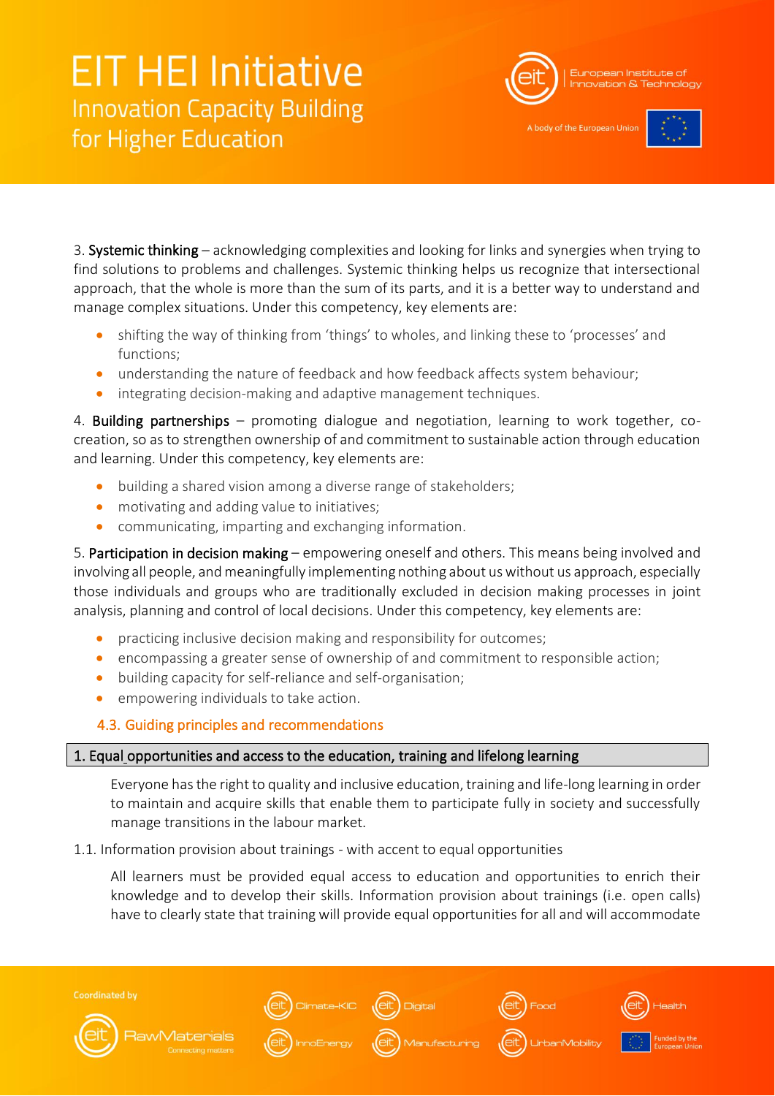

A body of the European Unio



3. Systemic thinking – acknowledging complexities and looking for links and synergies when trying to find solutions to problems and challenges. Systemic thinking helps us recognize that intersectional approach, that the whole is more than the sum of its parts, and it is a better way to understand and manage complex situations. Under this competency, key elements are:

- shifting the way of thinking from 'things' to wholes, and linking these to 'processes' and functions;
- understanding the nature of feedback and how feedback affects system behaviour;
- integrating decision-making and adaptive management techniques.

4. Building partnerships – promoting dialogue and negotiation, learning to work together, cocreation, so as to strengthen ownership of and commitment to sustainable action through education and learning. Under this competency, key elements are:

- building a shared vision among a diverse range of stakeholders;
- motivating and adding value to initiatives;
- communicating, imparting and exchanging information.

5. Participation in decision making – empowering oneself and others. This means being involved and involving all people, and meaningfully implementing nothing about us without us approach, especially those individuals and groups who are traditionally excluded in decision making processes in joint analysis, planning and control of local decisions. Under this competency, key elements are:

- practicing inclusive decision making and responsibility for outcomes;
- encompassing a greater sense of ownership of and commitment to responsible action;
- building capacity for self-reliance and self-organisation;
- empowering individuals to take action.

### <span id="page-12-0"></span>4.3. Guiding principles and recommendations

### 1. Equal opportunities and access to the education, training and lifelong learning

Everyone has the right to quality and inclusive education, training and life-long learning in order to maintain and acquire skills that enable them to participate fully in society and successfully manage transitions in the labour market.

1.1. Information provision about trainings - with accent to equal opportunities

All learners must be provided equal access to education and opportunities to enrich their knowledge and to develop their skills. Information provision about trainings (i.e. open calls) have to clearly state that training will provide equal opportunities for all and will accommodate





**RawMaterials** 









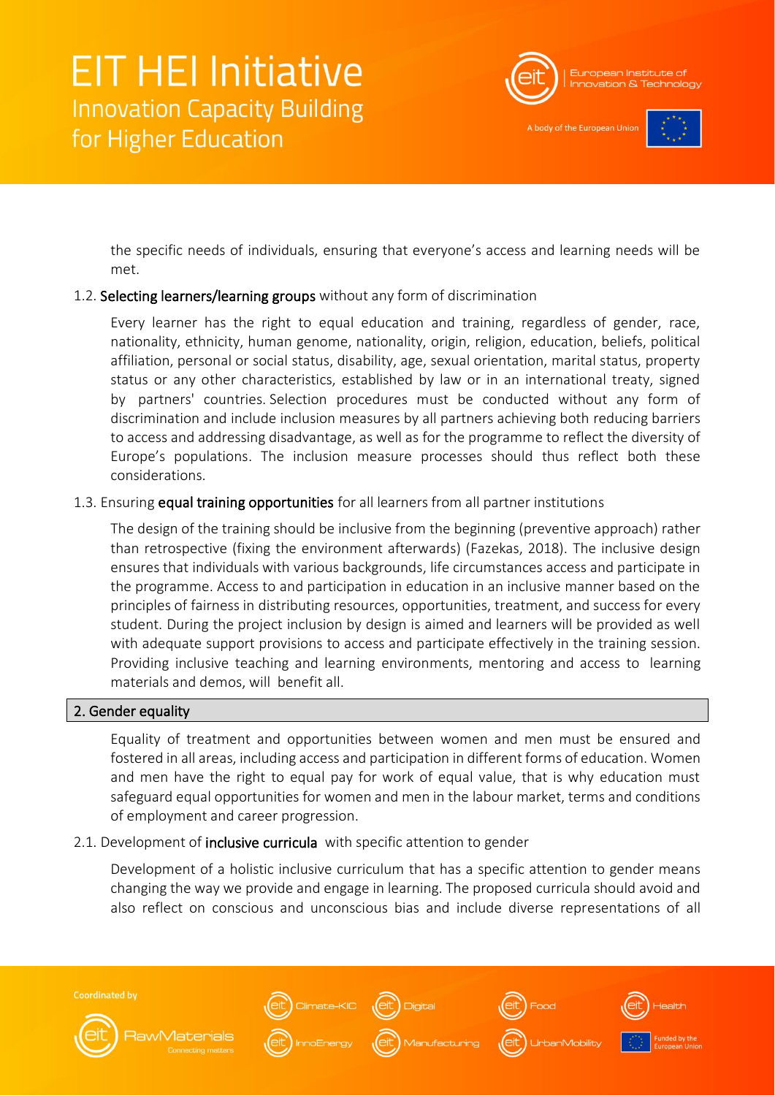

A body of the European Unio



the specific needs of individuals, ensuring that everyone's access and learning needs will be met.

### 1.2. Selecting learners/learning groups without any form of discrimination

Every learner has the right to equal education and training, regardless of gender, race, nationality, ethnicity, human genome, nationality, origin, religion, education, beliefs, political affiliation, personal or social status, disability, age, sexual orientation, marital status, property status or any other characteristics, established by law or in an international treaty, signed by partners' countries. Selection procedures must be conducted without any form of discrimination and include inclusion measures by all partners achieving both reducing barriers to access and addressing disadvantage, as well as for the programme to reflect the diversity of Europe's populations. The inclusion measure processes should thus reflect both these considerations.

### 1.3. Ensuring equal training opportunities for all learners from all partner institutions

The design of the training should be inclusive from the beginning (preventive approach) rather than retrospective (fixing the environment afterwards) (Fazekas, 2018). The inclusive design ensures that individuals with various backgrounds, life circumstances access and participate in the programme. Access to and participation in education in an inclusive manner based on the principles of fairness in distributing resources, opportunities, treatment, and success for every student. During the project inclusion by design is aimed and learners will be provided as well with adequate support provisions to access and participate effectively in the training session. Providing inclusive teaching and learning environments, mentoring and access to learning materials and demos, will benefit all.

### 2. Gender equality

Equality of treatment and opportunities between women and men must be ensured and fostered in all areas, including access and participation in different forms of education. Women and men have the right to equal pay for work of equal value, that is why education must safeguard equal opportunities for women and men in the labour market, terms and conditions of employment and career progression.

### 2.1. Development of **inclusive curricula** with specific attention to gender

Development of a holistic inclusive curriculum that has a specific attention to gender means changing the way we provide and engage in learning. The proposed curricula should avoid and also reflect on conscious and unconscious bias and include diverse representations of all

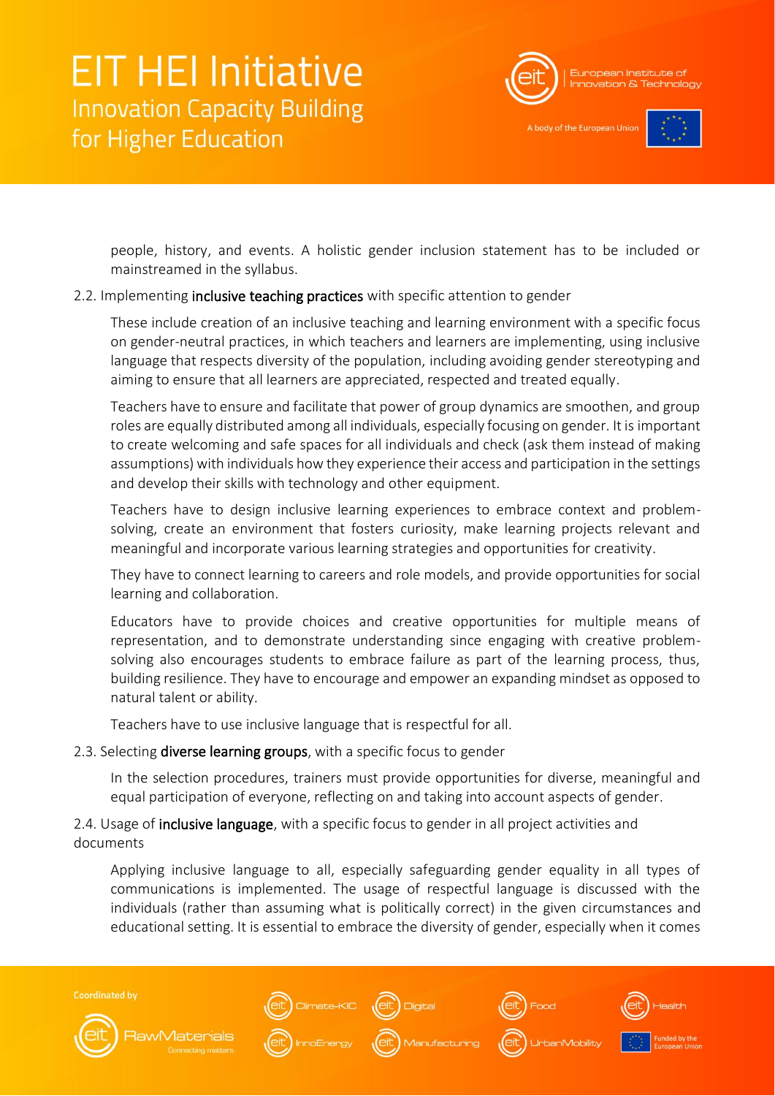

A body of the European Unio



people, history, and events. A holistic gender inclusion statement has to be included or mainstreamed in the syllabus.

#### 2.2. Implementing inclusive teaching practices with specific attention to gender

These include creation of an inclusive teaching and learning environment with a specific focus on gender-neutral practices, in which teachers and learners are implementing, using inclusive language that respects diversity of the population, including avoiding gender stereotyping and aiming to ensure that all learners are appreciated, respected and treated equally.

Teachers have to ensure and facilitate that power of group dynamics are smoothen, and group roles are equally distributed among all individuals, especially focusing on gender. It is important to create welcoming and safe spaces for all individuals and check (ask them instead of making assumptions) with individuals how they experience their access and participation in the settings and develop their skills with technology and other equipment.

Teachers have to design inclusive learning experiences to embrace context and problemsolving, create an environment that fosters curiosity, make learning projects relevant and meaningful and incorporate various learning strategies and opportunities for creativity.

They have to connect learning to careers and role models, and provide opportunities for social learning and collaboration.

Educators have to provide choices and creative opportunities for multiple means of representation, and to demonstrate understanding since engaging with creative problemsolving also encourages students to embrace failure as part of the learning process, thus, building resilience. They have to encourage and empower an expanding mindset as opposed to natural talent or ability.

Teachers have to use inclusive language that is respectful for all.

### 2.3. Selecting diverse learning groups, with a specific focus to gender

In the selection procedures, trainers must provide opportunities for diverse, meaningful and equal participation of everyone, reflecting on and taking into account aspects of gender.

### 2.4. Usage of inclusive language, with a specific focus to gender in all project activities and documents

Applying inclusive language to all, especially safeguarding gender equality in all types of communications is implemented. The usage of respectful language is discussed with the individuals (rather than assuming what is politically correct) in the given circumstances and educational setting. It is essential to embrace the diversity of gender, especially when it comes

**Coordinated by** ate-KIC (eit) Digital **RawMaterials** UrbanMobility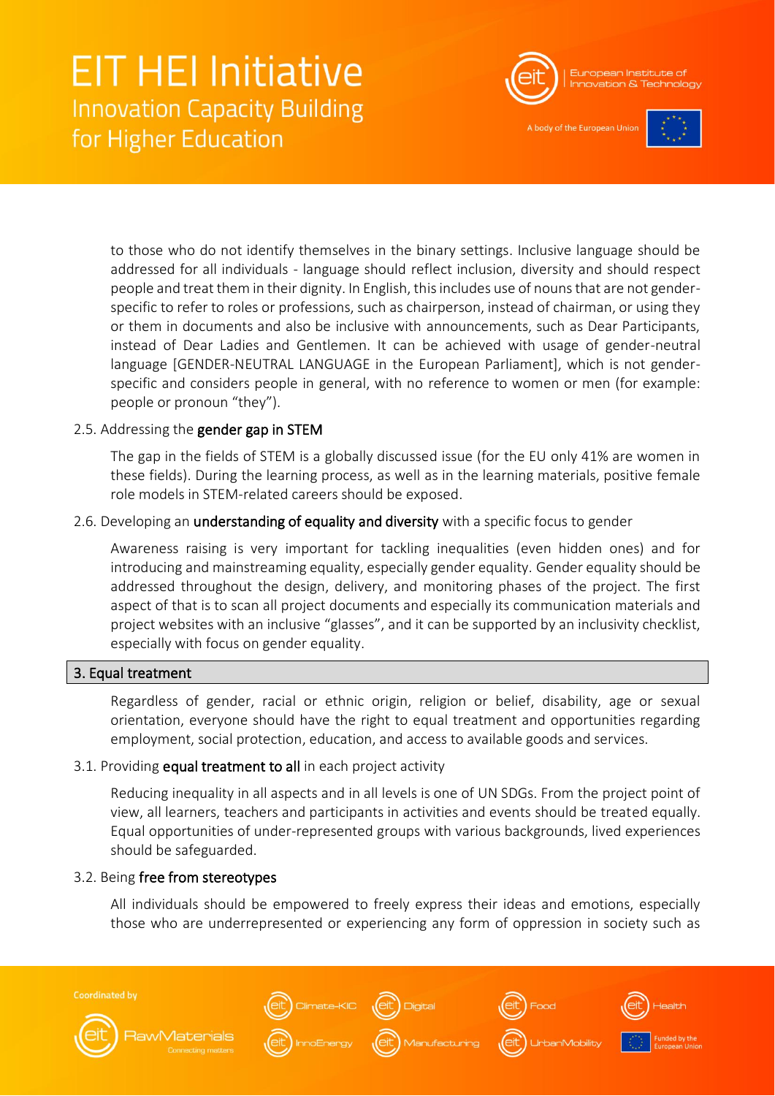

A body of the European Uni-



to those who do not identify themselves in the binary settings. Inclusive language should be addressed for all individuals - language should reflect inclusion, diversity and should respect people and treat them in their dignity. In English, this includes use of nouns that are not genderspecific to refer to roles or professions, such as chairperson, instead of chairman, or using they or them in documents and also be inclusive with announcements, such as Dear Participants, instead of Dear Ladies and Gentlemen. It can be achieved with usage of gender-neutral language [GENDER-NEUTRAL LANGUAGE in the European Parliament], which is not genderspecific and considers people in general, with no reference to women or men (for example: people or pronoun "they").

### 2.5. Addressing the gender gap in STEM

The gap in the fields of STEM is a globally discussed issue (for the EU only 41% are women in these fields). During the learning process, as well as in the learning materials, positive female role models in STEM-related careers should be exposed.

### 2.6. Developing an understanding of equality and diversity with a specific focus to gender

Awareness raising is very important for tackling inequalities (even hidden ones) and for introducing and mainstreaming equality, especially gender equality. Gender equality should be addressed throughout the design, delivery, and monitoring phases of the project. The first aspect of that is to scan all project documents and especially its communication materials and project websites with an inclusive "glasses", and it can be supported by an inclusivity checklist, especially with focus on gender equality.

### 3. Equal treatment

Regardless of gender, racial or ethnic origin, religion or belief, disability, age or sexual orientation, everyone should have the right to equal treatment and opportunities regarding employment, social protection, education, and access to available goods and services.

### 3.1. Providing equal treatment to all in each project activity

Reducing inequality in all aspects and in all levels is one of UN SDGs. From the project point of view, all learners, teachers and participants in activities and events should be treated equally. Equal opportunities of under-represented groups with various backgrounds, lived experiences should be safeguarded.

### 3.2. Being free from stereotypes

All individuals should be empowered to freely express their ideas and emotions, especially those who are underrepresented or experiencing any form of oppression in society such as

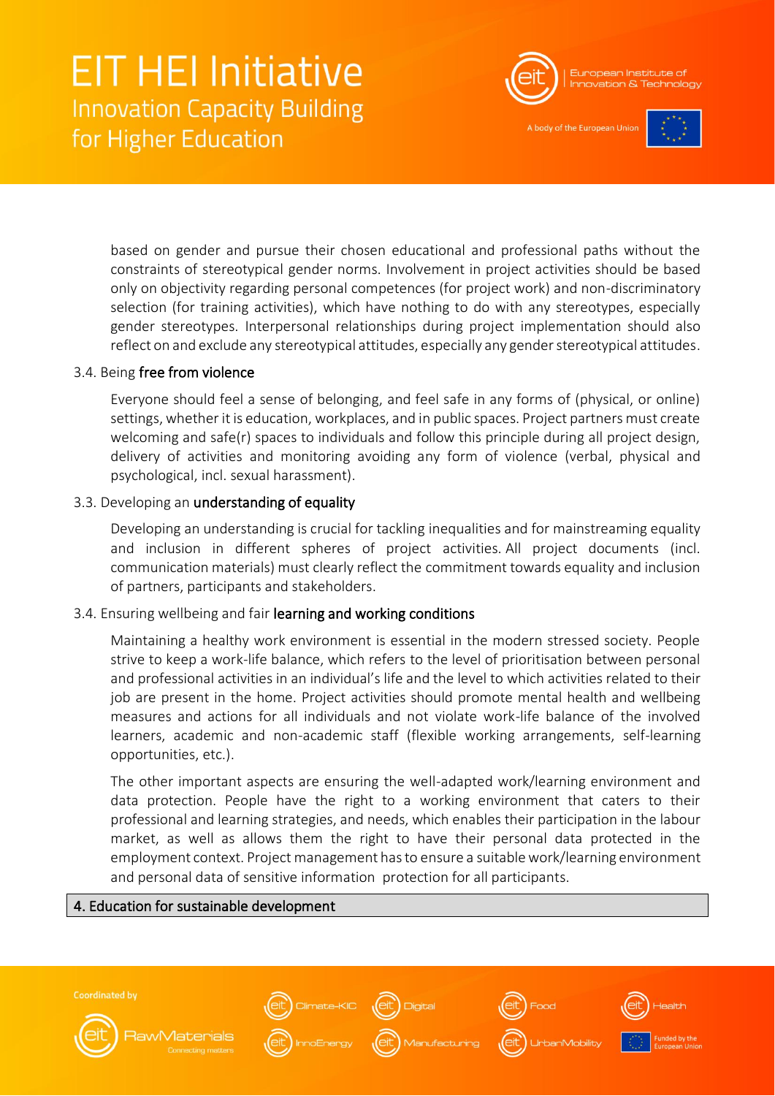

A body of the European Unio



based on gender and pursue their chosen educational and professional paths without the constraints of stereotypical gender norms. Involvement in project activities should be based only on objectivity regarding personal competences (for project work) and non-discriminatory selection (for training activities), which have nothing to do with any stereotypes, especially gender stereotypes. Interpersonal relationships during project implementation should also reflect on and exclude any stereotypical attitudes, especially any gender stereotypical attitudes.

### 3.4. Being free from violence

Everyone should feel a sense of belonging, and feel safe in any forms of (physical, or online) settings, whether it is education, workplaces, and in public spaces. Project partners must create welcoming and safe(r) spaces to individuals and follow this principle during all project design, delivery of activities and monitoring avoiding any form of violence (verbal, physical and psychological, incl. sexual harassment).

#### 3.3. Developing an understanding of equality

Developing an understanding is crucial for tackling inequalities and for mainstreaming equality and inclusion in different spheres of project activities. All project documents (incl. communication materials) must clearly reflect the commitment towards equality and inclusion of partners, participants and stakeholders.

### 3.4. Ensuring wellbeing and fair learning and working conditions

Maintaining a healthy work environment is essential in the modern stressed society. People strive to keep a work-life balance, which refers to the level of prioritisation between personal and professional activities in an individual's life and the level to which activities related to their job are present in the home. Project activities should promote mental health and wellbeing measures and actions for all individuals and not violate work-life balance of the involved learners, academic and non-academic staff (flexible working arrangements, self-learning opportunities, etc.).

The other important aspects are ensuring the well-adapted work/learning environment and data protection. People have the right to a working environment that caters to their professional and learning strategies, and needs, which enables their participation in the labour market, as well as allows them the right to have their personal data protected in the employment context. Project management has to ensure a suitable work/learning environment and personal data of sensitive information protection for all participants.

### 4. Education for sustainable development

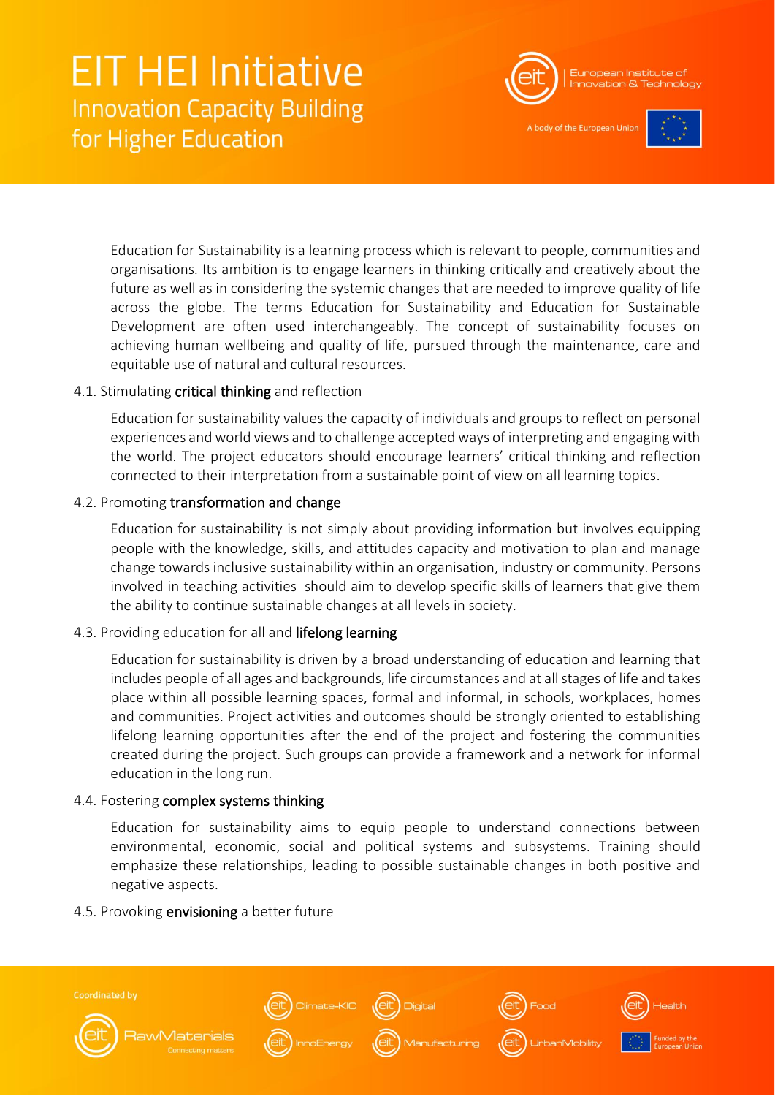

A body of the European Unio



Education for Sustainability is a learning process which is relevant to people, communities and organisations. Its ambition is to engage learners in thinking critically and creatively about the future as well as in considering the systemic changes that are needed to improve quality of life across the globe. The terms Education for Sustainability and Education for Sustainable Development are often used interchangeably. The concept of sustainability focuses on achieving human wellbeing and quality of life, pursued through the maintenance, care and equitable use of natural and cultural resources.

### 4.1. Stimulating critical thinking and reflection

Education for sustainability values the capacity of individuals and groups to reflect on personal experiences and world views and to challenge accepted ways of interpreting and engaging with the world. The project educators should encourage learners' critical thinking and reflection connected to their interpretation from a sustainable point of view on all learning topics.

### 4.2. Promoting transformation and change

Education for sustainability is not simply about providing information but involves equipping people with the knowledge, skills, and attitudes capacity and motivation to plan and manage change towards inclusive sustainability within an organisation, industry or community. Persons involved in teaching activities should aim to develop specific skills of learners that give them the ability to continue sustainable changes at all levels in society.

### 4.3. Providing education for all and lifelong learning

Education for sustainability is driven by a broad understanding of education and learning that includes people of all ages and backgrounds, life circumstances and at all stages of life and takes place within all possible learning spaces, formal and informal, in schools, workplaces, homes and communities. Project activities and outcomes should be strongly oriented to establishing lifelong learning opportunities after the end of the project and fostering the communities created during the project. Such groups can provide a framework and a network for informal education in the long run.

### 4.4. Fostering complex systems thinking

Education for sustainability aims to equip people to understand connections between environmental, economic, social and political systems and subsystems. Training should emphasize these relationships, leading to possible sustainable changes in both positive and negative aspects.

### 4.5. Provoking envisioning a better future

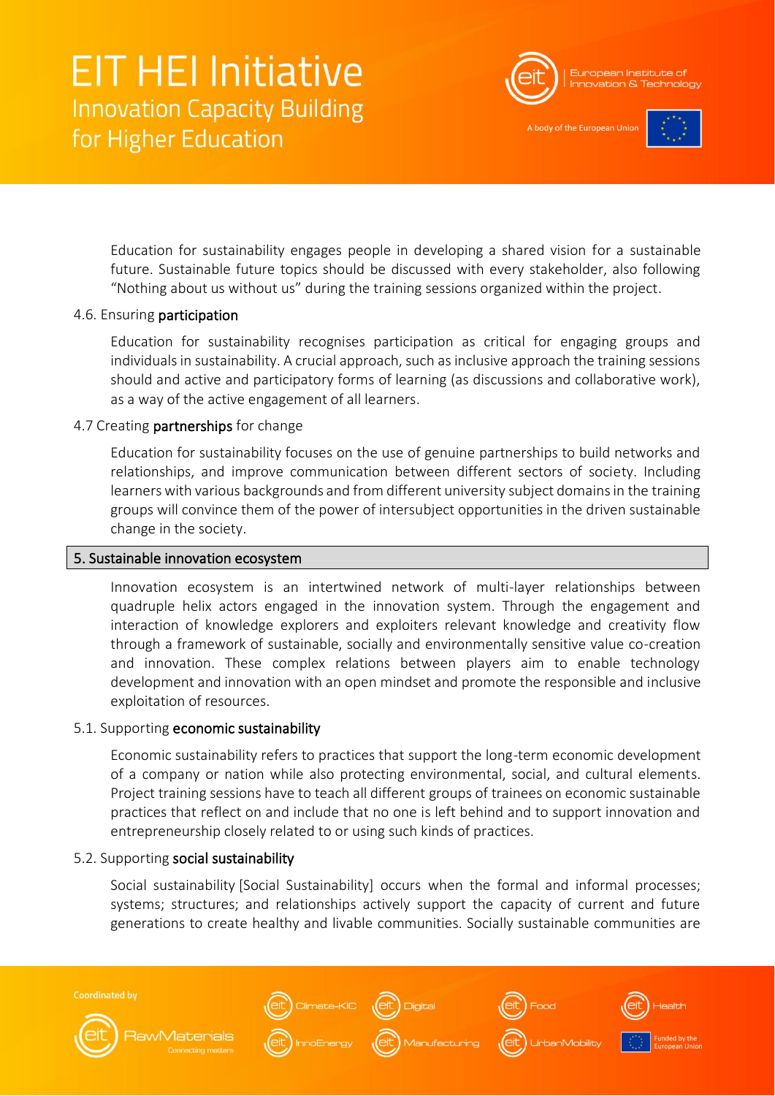

A body of the European Unio



Education for sustainability engages people in developing a shared vision for a sustainable future. Sustainable future topics should be discussed with every stakeholder, also following "Nothing about us without us" during the training sessions organized within the project.

#### 4.6. Ensuring participation

Education for sustainability recognises participation as critical for engaging groups and individuals in sustainability. A crucial approach, such as inclusive approach the training sessions should and active and participatory forms of learning (as discussions and collaborative work), as a way of the active engagement of all learners.

### 4.7 Creating partnerships for change

Education for sustainability focuses on the use of genuine partnerships to build networks and relationships, and improve communication between different sectors of society. Including learners with various backgrounds and from different university subject domains in the training groups will convince them of the power of intersubject opportunities in the driven sustainable change in the society.

#### 5. Sustainable innovation ecosystem

Innovation ecosystem is an intertwined network of multi-layer relationships between quadruple helix actors engaged in the innovation system. Through the engagement and interaction of knowledge explorers and exploiters relevant knowledge and creativity flow through a framework of sustainable, socially and environmentally sensitive value co-creation and innovation. These complex relations between players aim to enable technology development and innovation with an open mindset and promote the responsible and inclusive exploitation of resources.

#### 5.1. Supporting economic sustainability

Economic sustainability refers to practices that support the long-term economic development of a company or nation while also protecting environmental, social, and cultural elements. Project training sessions have to teach all different groups of trainees on economic sustainable practices that reflect on and include that no one is left behind and to support innovation and entrepreneurship closely related to or using such kinds of practices.

#### 5.2. Supporting social sustainability

Social sustainability [Social Sustainability] occurs when the formal and informal processes; systems; structures; and relationships actively support the capacity of current and future generations to create healthy and livable communities. Socially sustainable communities are

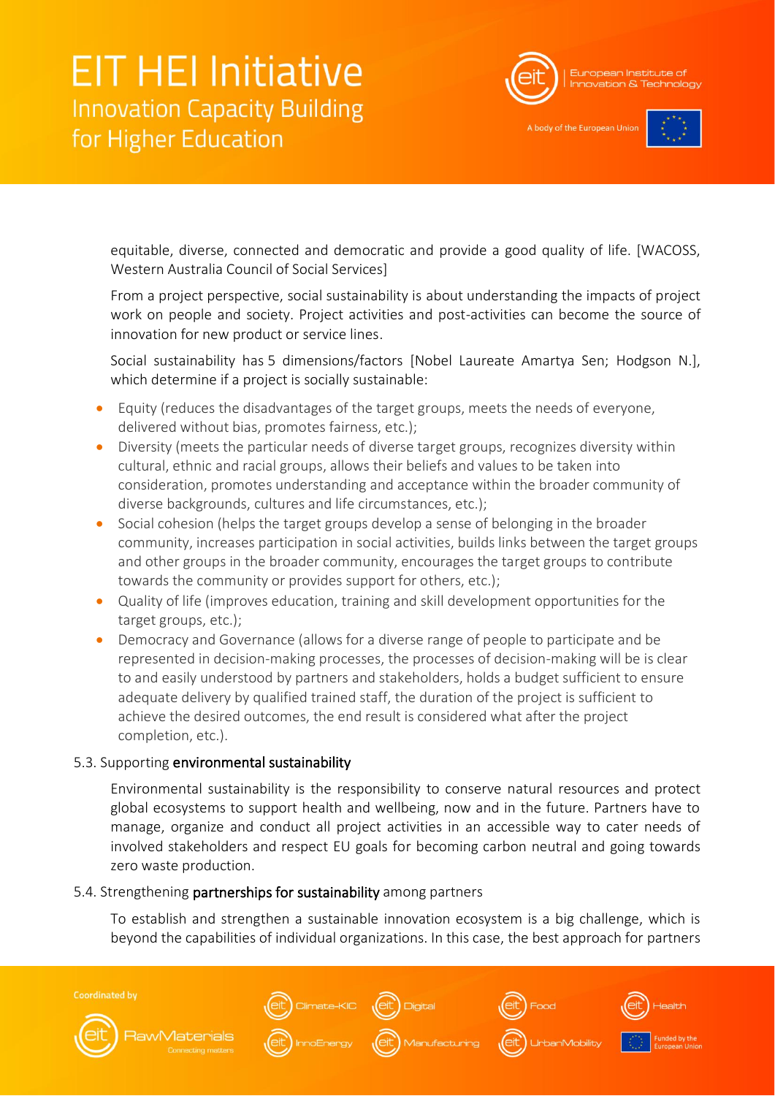

A body of the European Unio



equitable, diverse, connected and democratic and provide a good quality of life. [WACOSS, Western Australia Council of Social Services]

From a project perspective, social sustainability is about understanding the impacts of project work on people and society. Project activities and post-activities can become the source of innovation for new product or service lines.

Social sustainability has 5 dimensions/factors [Nobel Laureate Amartya Sen; Hodgson N.], which determine if a project is socially sustainable:

- Equity (reduces the disadvantages of the target groups, meets the needs of everyone, delivered without bias, promotes fairness, etc.);
- Diversity (meets the particular needs of diverse target groups, recognizes diversity within cultural, ethnic and racial groups, allows their beliefs and values to be taken into consideration, promotes understanding and acceptance within the broader community of diverse backgrounds, cultures and life circumstances, etc.);
- Social cohesion (helps the target groups develop a sense of belonging in the broader community, increases participation in social activities, builds links between the target groups and other groups in the broader community, encourages the target groups to contribute towards the community or provides support for others, etc.);
- Quality of life (improves education, training and skill development opportunities for the target groups, etc.);
- Democracy and Governance (allows for a diverse range of people to participate and be represented in decision-making processes, the processes of decision-making will be is clear to and easily understood by partners and stakeholders, holds a budget sufficient to ensure adequate delivery by qualified trained staff, the duration of the project is sufficient to achieve the desired outcomes, the end result is considered what after the project completion, etc.).

### 5.3. Supporting environmental sustainability

Environmental sustainability is the responsibility to conserve natural resources and protect global ecosystems to support health and wellbeing, now and in the future. Partners have to manage, organize and conduct all project activities in an accessible way to cater needs of involved stakeholders and respect EU goals for becoming carbon neutral and going towards zero waste production.

#### 5.4. Strengthening partnerships for sustainability among partners

To establish and strengthen a sustainable innovation ecosystem is a big challenge, which is beyond the capabilities of individual organizations. In this case, the best approach for partners

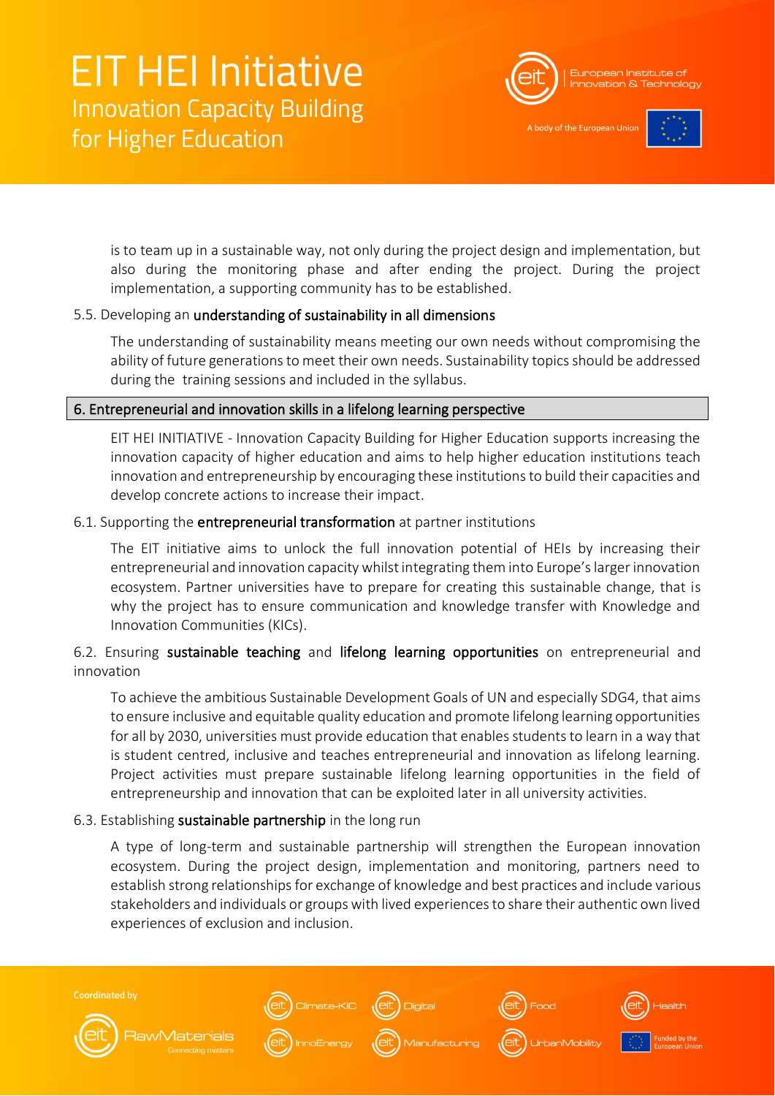

A body of the European Unio



is to team up in a sustainable way, not only during the project design and implementation, but also during the monitoring phase and after ending the project. During the project implementation, a supporting community has to be established.

### 5.5. Developing an understanding of sustainability in all dimensions

The understanding of sustainability means meeting our own needs without compromising the ability of future generations to meet their own needs. Sustainability topics should be addressed during the training sessions and included in the syllabus.

### 6. Entrepreneurial and innovation skills in a lifelong learning perspective

EIT HEI INITIATIVE - Innovation Capacity Building for Higher Education supports increasing the innovation capacity of higher education and aims to help higher education institutions teach innovation and entrepreneurship by encouraging these institutions to build their capacities and develop concrete actions to increase their impact.

### 6.1. Supporting the entrepreneurial transformation at partner institutions

The EIT initiative aims to unlock the full innovation potential of HEIs by increasing their entrepreneurial and innovation capacity whilst integrating them into Europe's larger innovation ecosystem. Partner universities have to prepare for creating this sustainable change, that is why the project has to ensure communication and knowledge transfer with Knowledge and Innovation Communities (KICs).

### 6.2. Ensuring sustainable teaching and lifelong learning opportunities on entrepreneurial and innovation

To achieve the ambitious Sustainable Development Goals of UN and especially SDG4, that aims to ensure inclusive and equitable quality education and promote lifelong learning opportunities for all by 2030, universities must provide education that enables students to learn in a way that is student centred, inclusive and teaches entrepreneurial and innovation as lifelong learning. Project activities must prepare sustainable lifelong learning opportunities in the field of entrepreneurship and innovation that can be exploited later in all university activities.

### 6.3. Establishing sustainable partnership in the long run

A type of long-term and sustainable partnership will strengthen the European innovation ecosystem. During the project design, implementation and monitoring, partners need to establish strong relationships for exchange of knowledge and best practices and include various stakeholders and individuals or groups with lived experiences to share their authentic own lived experiences of exclusion and inclusion.

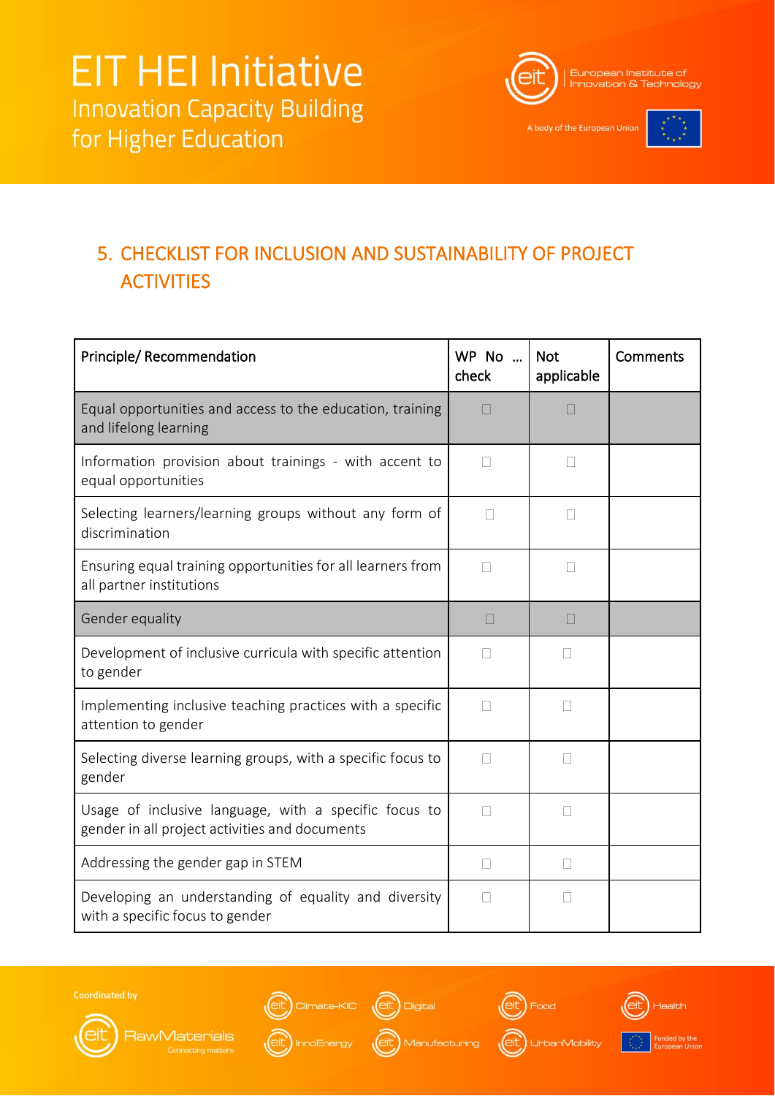

A body of the European Unior



## <span id="page-21-0"></span>5. CHECKLIST FOR INCLUSION AND SUSTAINABILITY OF PROJECT **ACTIVITIES**

| Principle/ Recommendation                                                                               | WP No<br>check | <b>Not</b><br>applicable | Comments |
|---------------------------------------------------------------------------------------------------------|----------------|--------------------------|----------|
| Equal opportunities and access to the education, training<br>and lifelong learning                      | П              | П                        |          |
| Information provision about trainings - with accent to<br>equal opportunities                           | П              | $\overline{\phantom{a}}$ |          |
| Selecting learners/learning groups without any form of<br>discrimination                                | П              |                          |          |
| Ensuring equal training opportunities for all learners from<br>all partner institutions                 | П              | $\mathbf{L}$             |          |
| Gender equality                                                                                         | П              | $\mathbf{L}$             |          |
| Development of inclusive curricula with specific attention<br>to gender                                 |                |                          |          |
| Implementing inclusive teaching practices with a specific<br>attention to gender                        |                | Ш                        |          |
| Selecting diverse learning groups, with a specific focus to<br>gender                                   | $\mathbf{L}$   | $\mathbf{L}$             |          |
| Usage of inclusive language, with a specific focus to<br>gender in all project activities and documents | $\mathbf{L}$   | П                        |          |
| Addressing the gender gap in STEM                                                                       | П              | $\Box$                   |          |
| Developing an understanding of equality and diversity<br>with a specific focus to gender                |                | Ш                        |          |





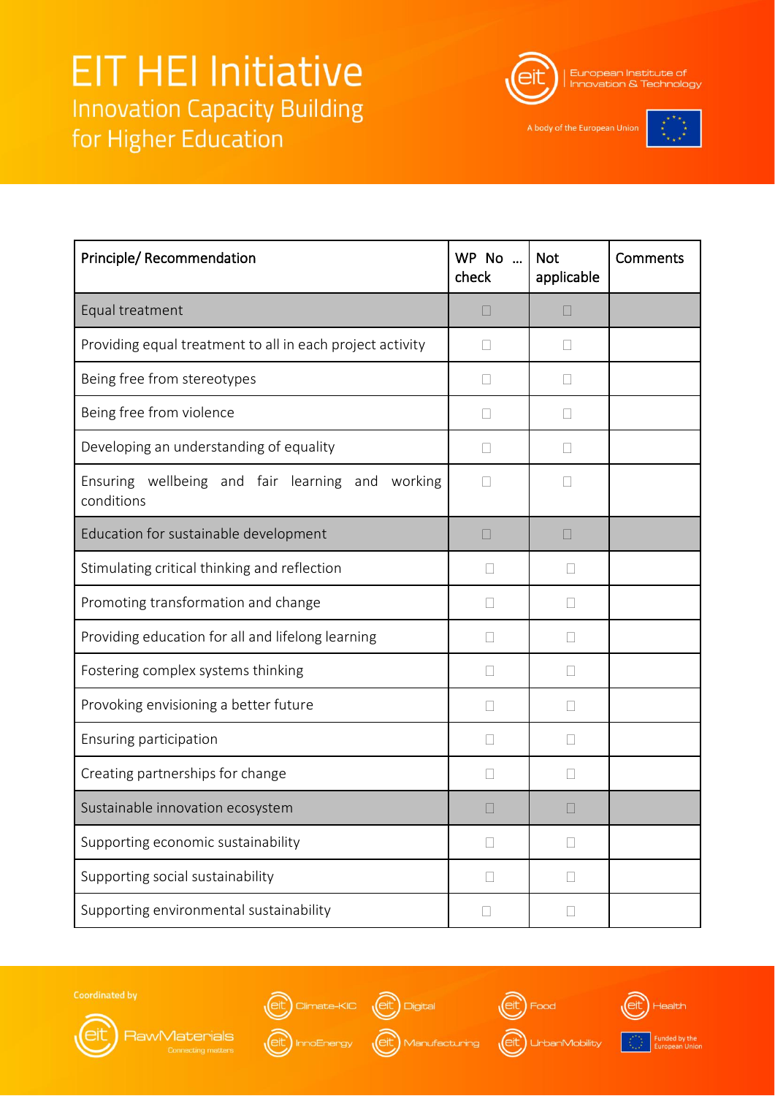

European Institute of **Innovation & Technology** 

A body of the European Union



| Principle/ Recommendation                                         | WP No<br>check | <b>Not</b><br>applicable | Comments |
|-------------------------------------------------------------------|----------------|--------------------------|----------|
| Equal treatment                                                   | Ш              | $\mathbf{L}$             |          |
| Providing equal treatment to all in each project activity         |                |                          |          |
| Being free from stereotypes                                       | П              | $\mathbf{L}$             |          |
| Being free from violence                                          | П              | $\mathbf{L}$             |          |
| Developing an understanding of equality                           | Ш              | $\Box$                   |          |
| Ensuring wellbeing and fair learning and<br>working<br>conditions |                |                          |          |
| Education for sustainable development                             | П              | Ш                        |          |
| Stimulating critical thinking and reflection                      | $\Box$         | $\mathbf{L}$             |          |
| Promoting transformation and change                               | $\Box$         | $\mathbf{L}$             |          |
| Providing education for all and lifelong learning                 |                | $\overline{\phantom{a}}$ |          |
| Fostering complex systems thinking                                |                | Ш                        |          |
| Provoking envisioning a better future                             | Ш              | Н                        |          |
| Ensuring participation                                            | Н              | $\mathbf{L}$             |          |
| Creating partnerships for change                                  | $\mathbf{L}$   | $\mathbf{L}$             |          |
| Sustainable innovation ecosystem                                  |                |                          |          |
| Supporting economic sustainability                                | $\mathbf{L}$   | Ш                        |          |
| Supporting social sustainability                                  | $\Box$         | $\Box$                   |          |
| Supporting environmental sustainability                           | □              | $\mathbf{L}$             |          |



RawMaterials







Funded by the<br>European Unio | O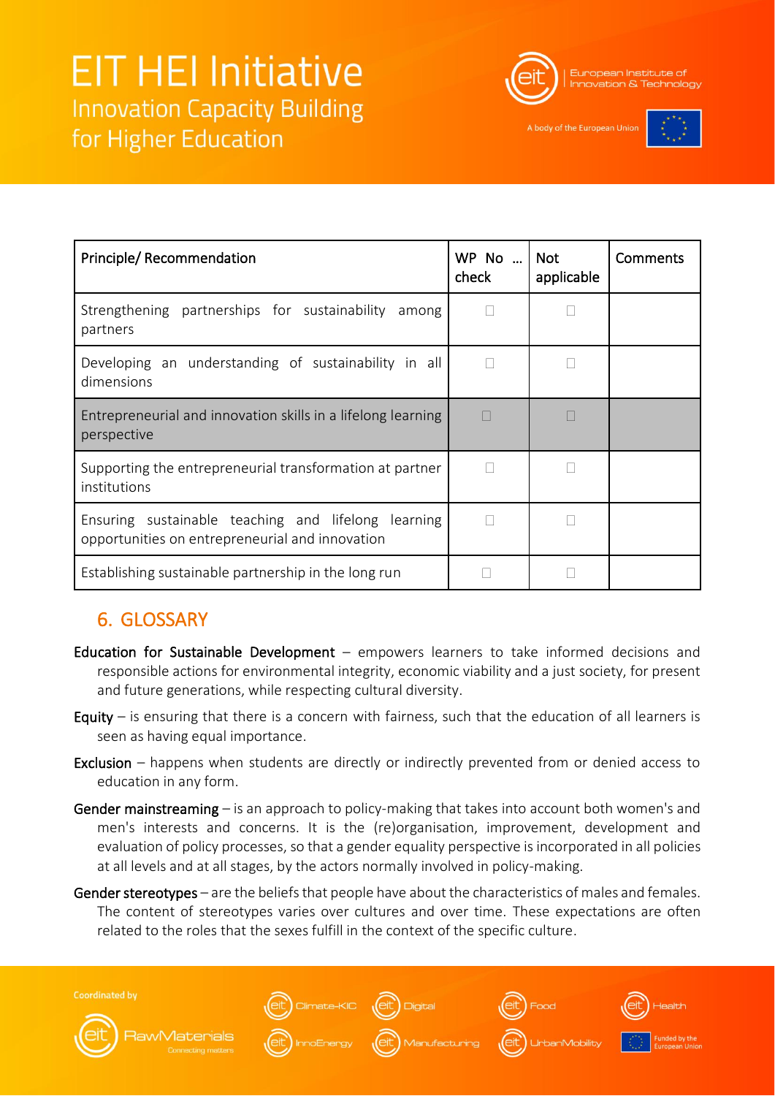

A body of the European Unio



| Principle/Recommendation                                                                               | WP No    Not<br>check | applicable | <b>Comments</b> |
|--------------------------------------------------------------------------------------------------------|-----------------------|------------|-----------------|
| Strengthening partnerships for sustainability<br>among<br>partners                                     |                       |            |                 |
| Developing an understanding of sustainability in all<br>dimensions                                     |                       |            |                 |
| Entrepreneurial and innovation skills in a lifelong learning<br>perspective                            |                       |            |                 |
| Supporting the entrepreneurial transformation at partner<br>institutions                               |                       |            |                 |
| Ensuring sustainable teaching and lifelong learning<br>opportunities on entrepreneurial and innovation |                       |            |                 |
| Establishing sustainable partnership in the long run                                                   |                       |            |                 |

### <span id="page-23-0"></span>6. GLOSSARY

- Education for Sustainable Development empowers learners to take informed decisions and responsible actions for environmental integrity, economic viability and a just society, for present and future generations, while respecting cultural diversity.
- Equity  $-$  is ensuring that there is a concern with fairness, such that the education of all learners is seen as having equal importance.
- Exclusion happens when students are directly or indirectly prevented from or denied access to education in any form.
- Gender mainstreaming is an approach to policy-making that takes into account both women's and men's interests and concerns. It is the (re)organisation, improvement, development and evaluation of policy processes, so that a gender equality perspective is incorporated in all policies at all levels and at all stages, by the actors normally involved in policy-making.
- Gender stereotypes are the beliefs that people have about the characteristics of males and females. The content of stereotypes varies over cultures and over time. These expectations are often related to the roles that the sexes fulfill in the context of the specific culture.

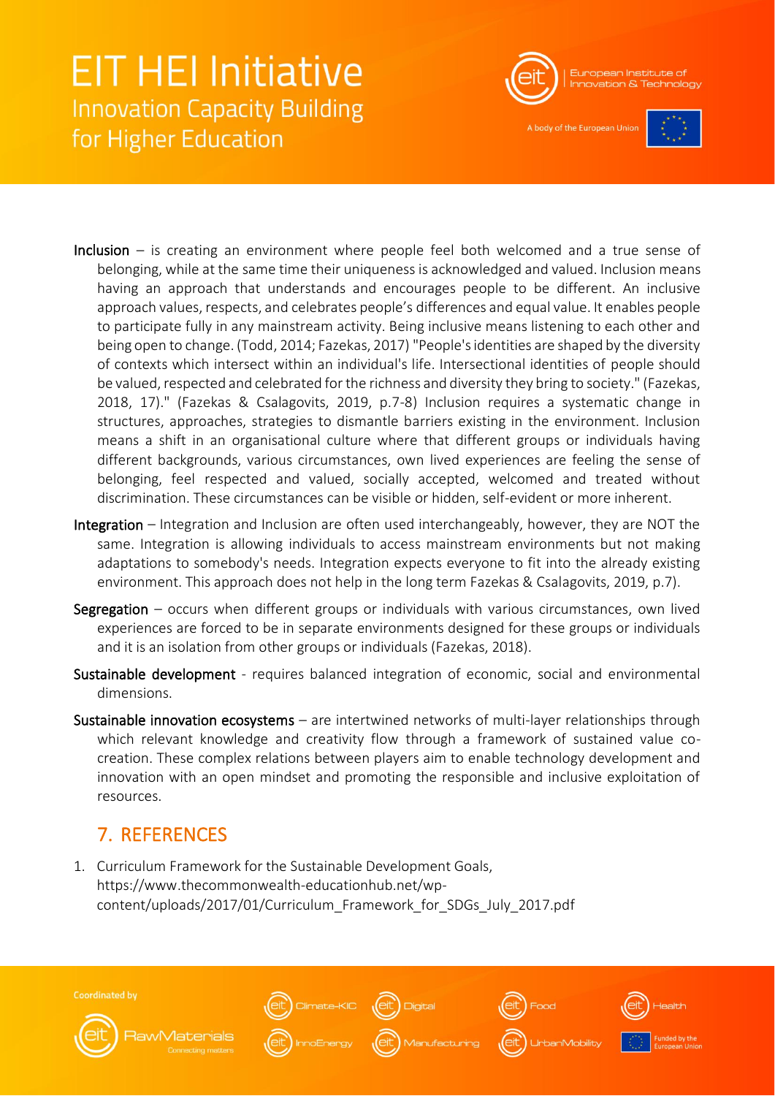

A body of the European Unio



- Inclusion is creating an environment where people feel both welcomed and a true sense of belonging, while at the same time their uniqueness is acknowledged and valued. Inclusion means having an approach that understands and encourages people to be different. An inclusive approach values, respects, and celebrates people's differences and equal value. It enables people to participate fully in any mainstream activity. Being inclusive means listening to each other and being open to change. (Todd, 2014; Fazekas, 2017) "People's identities are shaped by the diversity of contexts which intersect within an individual's life. Intersectional identities of people should be valued, respected and celebrated for the richness and diversity they bring to society." (Fazekas, 2018, 17)." (Fazekas & Csalagovits, 2019, p.7-8) Inclusion requires a systematic change in structures, approaches, strategies to dismantle barriers existing in the environment. Inclusion means a shift in an organisational culture where that different groups or individuals having different backgrounds, various circumstances, own lived experiences are feeling the sense of belonging, feel respected and valued, socially accepted, welcomed and treated without discrimination. These circumstances can be visible or hidden, self-evident or more inherent.
- Integration Integration and Inclusion are often used interchangeably, however, they are NOT the same. Integration is allowing individuals to access mainstream environments but not making adaptations to somebody's needs. Integration expects everyone to fit into the already existing environment. This approach does not help in the long term Fazekas & Csalagovits, 2019, p.7).
- Segregation  $-$  occurs when different groups or individuals with various circumstances, own lived experiences are forced to be in separate environments designed for these groups or individuals and it is an isolation from other groups or individuals (Fazekas, 2018).
- Sustainable development requires balanced integration of economic, social and environmental dimensions.
- Sustainable innovation ecosystems are intertwined networks of multi-layer relationships through which relevant knowledge and creativity flow through a framework of sustained value cocreation. These complex relations between players aim to enable technology development and innovation with an open mindset and promoting the responsible and inclusive exploitation of resources.

## <span id="page-24-0"></span>7. REFERENCES

1. Curriculum Framework for the Sustainable Development Goals, https://www.thecommonwealth-educationhub.net/wpcontent/uploads/2017/01/Curriculum\_Framework\_for\_SDGs\_July\_2017.pdf

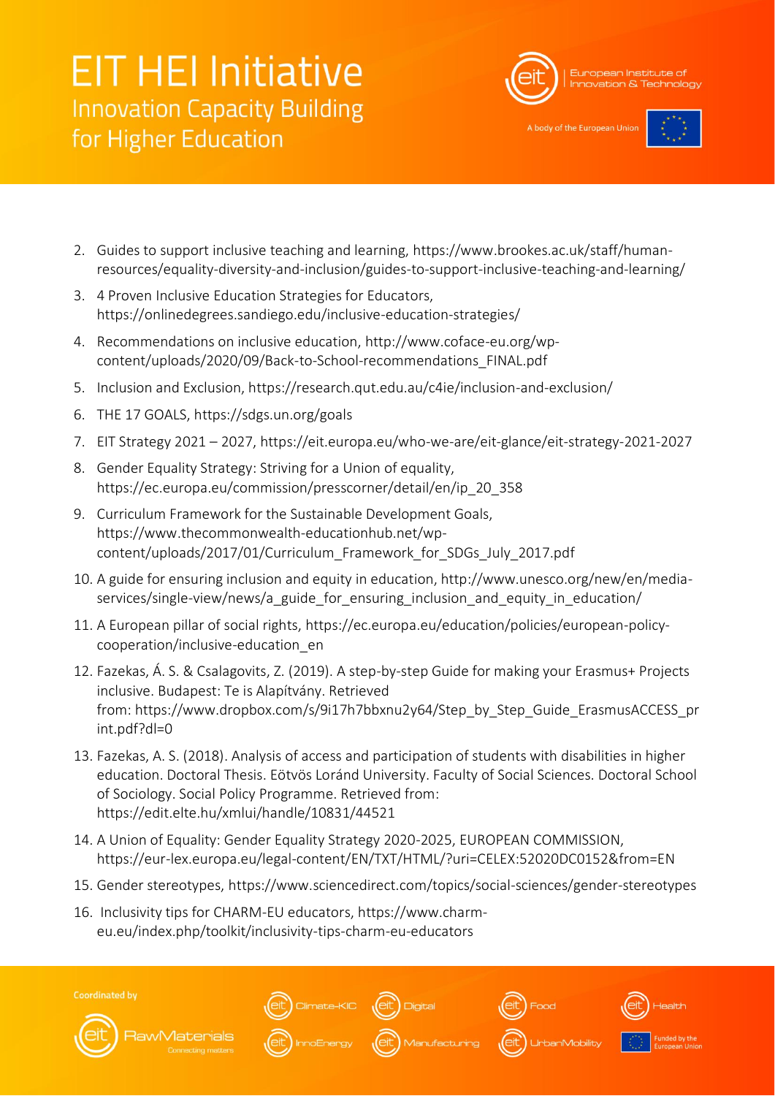

A body of the European Uni-

- 2. Guides to support inclusive teaching and learning, https://www.brookes.ac.uk/staff/humanresources/equality-diversity-and-inclusion/guides-to-support-inclusive-teaching-and-learning/
- 3. 4 Proven Inclusive Education Strategies for Educators, https://onlinedegrees.sandiego.edu/inclusive-education-strategies/
- 4. Recommendations on inclusive education, http://www.coface-eu.org/wpcontent/uploads/2020/09/Back-to-School-recommendations\_FINAL.pdf
- 5. Inclusion and Exclusion, https://research.qut.edu.au/c4ie/inclusion-and-exclusion/
- 6. THE 17 GOALS, https://sdgs.un.org/goals
- 7. EIT Strategy 2021 2027, https://eit.europa.eu/who-we-are/eit-glance/eit-strategy-2021-2027
- 8. Gender Equality Strategy: Striving for a Union of equality, https://ec.europa.eu/commission/presscorner/detail/en/ip\_20\_358
- 9. Curriculum Framework for the Sustainable Development Goals, https://www.thecommonwealth-educationhub.net/wpcontent/uploads/2017/01/Curriculum\_Framework\_for\_SDGs\_July\_2017.pdf
- 10. A guide for ensuring inclusion and equity in education, http://www.unesco.org/new/en/mediaservices/single-view/news/a\_guide\_for\_ensuring\_inclusion\_and\_equity\_in\_education/
- 11. A European pillar of social rights, https://ec.europa.eu/education/policies/european-policycooperation/inclusive-education\_en
- 12. Fazekas, Á. S. & Csalagovits, Z. (2019). A step-by-step Guide for making your Erasmus+ Projects inclusive. Budapest: Te is Alapítvány. Retrieved from: https://www.dropbox.com/s/9i17h7bbxnu2y64/Step\_by\_Step\_Guide\_ErasmusACCESS\_pr int.pdf?dl=0
- 13. Fazekas, A. S. (2018). Analysis of access and participation of students with disabilities in higher education. Doctoral Thesis. Eötvös Loránd University. Faculty of Social Sciences. Doctoral School of Sociology. Social Policy Programme. Retrieved from: https://edit.elte.hu/xmlui/handle/10831/44521
- 14. A Union of Equality: Gender Equality Strategy 2020-2025, EUROPEAN COMMISSION, https://eur-lex.europa.eu/legal-content/EN/TXT/HTML/?uri=CELEX:52020DC0152&from=EN
- 15. Gender stereotypes, https://www.sciencedirect.com/topics/social-sciences/gender-stereotypes
- 16. Inclusivity tips for CHARM-EU educators, https://www.charmeu.eu/index.php/toolkit/inclusivity-tips-charm-eu-educators

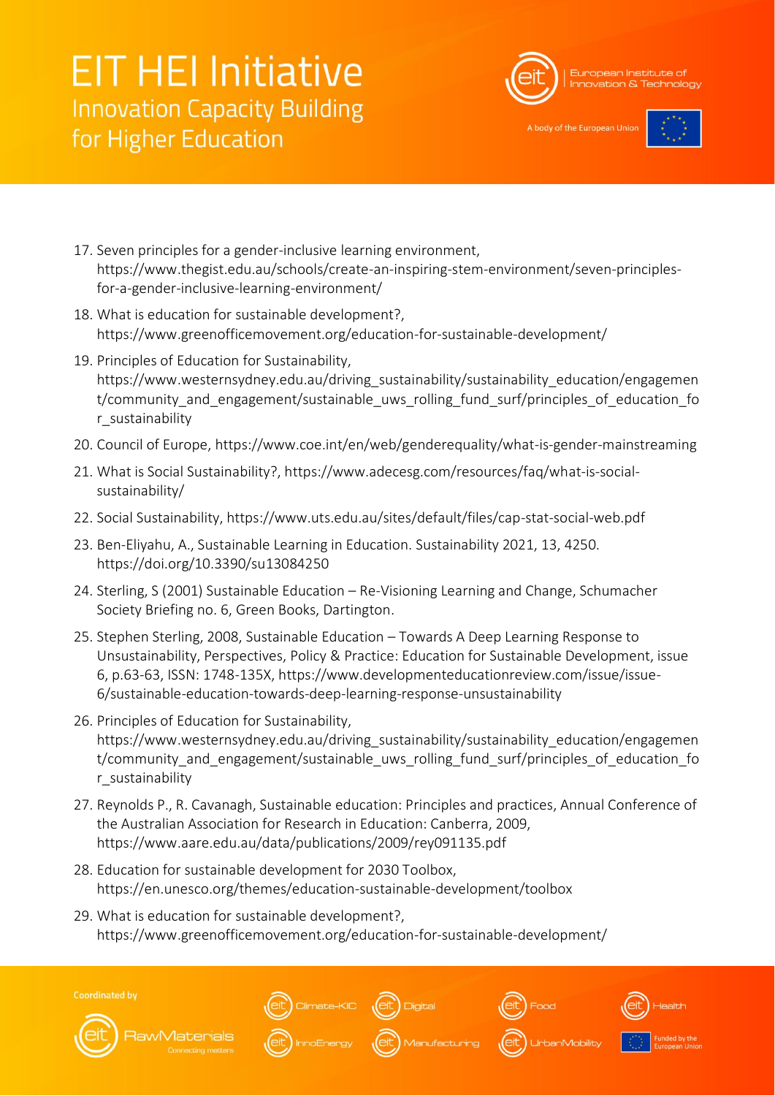

A body of the European Uni



- 17. Seven principles for a gender-inclusive learning environment, https://www.thegist.edu.au/schools/create-an-inspiring-stem-environment/seven-principlesfor-a-gender-inclusive-learning-environment/
- 18. What is education for sustainable development?, https://www.greenofficemovement.org/education-for-sustainable-development/
- 19. Principles of Education for Sustainability, https://www.westernsydney.edu.au/driving\_sustainability/sustainability\_education/engagemen t/community and engagement/sustainable uws rolling fund surf/principles of education fo r\_sustainability
- 20. Council of Europe, https://www.coe.int/en/web/genderequality/what-is-gender-mainstreaming
- 21. What is Social Sustainability?, https://www.adecesg.com/resources/faq/what-is-socialsustainability/
- 22. Social Sustainability, https://www.uts.edu.au/sites/default/files/cap-stat-social-web.pdf
- 23. Ben-Eliyahu, A., Sustainable Learning in Education. Sustainability 2021, 13, 4250. https://doi.org/10.3390/su13084250
- 24. Sterling, S (2001) Sustainable Education Re-Visioning Learning and Change, Schumacher Society Briefing no. 6, Green Books, Dartington.
- 25. Stephen Sterling, 2008, Sustainable Education Towards A Deep Learning Response to Unsustainability, Perspectives, Policy & Practice: Education for Sustainable Development, issue 6, p.63-63, ISSN: 1748-135X, https://www.developmenteducationreview.com/issue/issue-6/sustainable-education-towards-deep-learning-response-unsustainability
- 26. Principles of Education for Sustainability, https://www.westernsydney.edu.au/driving\_sustainability/sustainability\_education/engagemen t/community and engagement/sustainable uws rolling fund surf/principles of education fo r\_sustainability
- 27. Reynolds P., R. Cavanagh, Sustainable education: Principles and practices, Annual Conference of the Australian Association for Research in Education: Canberra, 2009, https://www.aare.edu.au/data/publications/2009/rey091135.pdf
- 28. Education for sustainable development for 2030 Toolbox, https://en.unesco.org/themes/education-sustainable-development/toolbox
- 29. What is education for sustainable development?, https://www.greenofficemovement.org/education-for-sustainable-development/

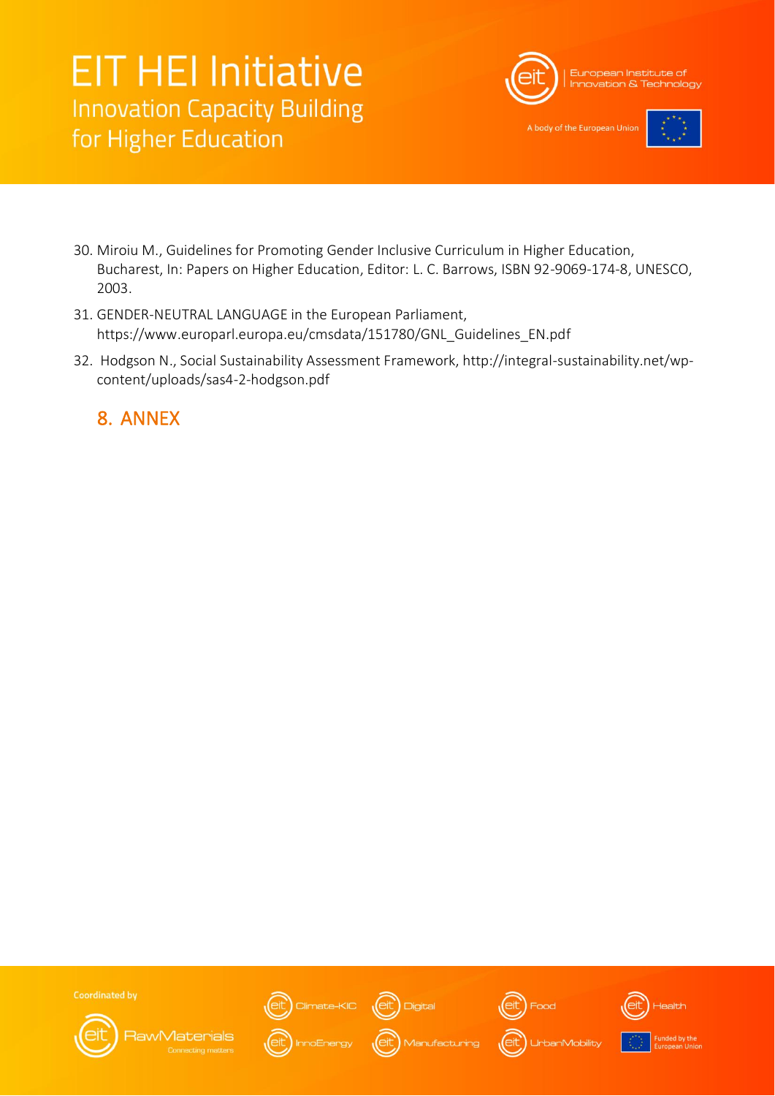

A body of the European Uni



- 30. Miroiu M., Guidelines for Promoting Gender Inclusive Curriculum in Higher Education, Bucharest, In: Papers on Higher Education, Editor: L. C. Barrows, ISBN 92-9069-174-8, UNESCO, 2003.
- 31. GENDER-NEUTRAL LANGUAGE in the European Parliament, https://www.europarl.europa.eu/cmsdata/151780/GNL\_Guidelines\_EN.pdf
- 32. Hodgson N., Social Sustainability Assessment Framework, http://integral-sustainability.net/wpcontent/uploads/sas4-2-hodgson.pdf

<span id="page-27-0"></span>8. ANNEX



**RawMaterials** 



Climate-KIC  $\left(\stackrel{\frown}{\text{elt}}\right)$  Digital





**UrbanMobility** 



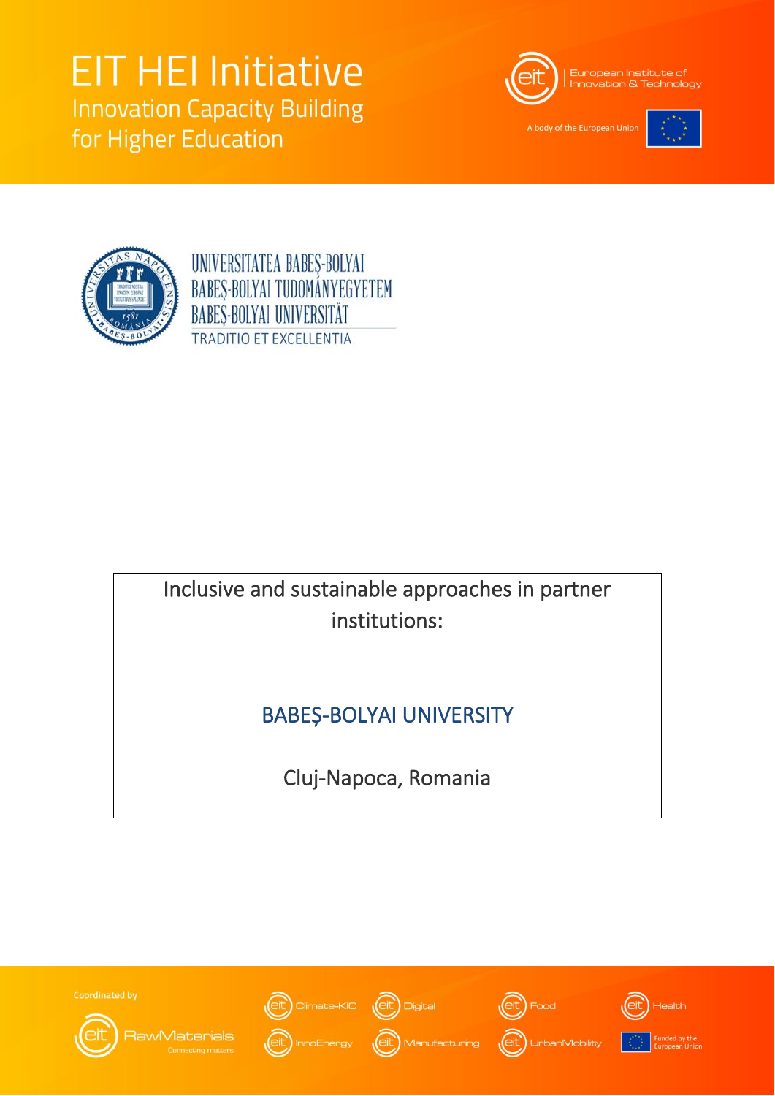

A body of the European Unio





UNIVERSITATEA BABES-BOLYAI BABES-BOLYAI TUDOMÁNYEGYETEM **BABES-BOLYAI UNIVERSITÄT TRADITIO ET EXCELLENTIA** 

## Inclusive and sustainable approaches in partner institutions:

## BABEȘ-BOLYAI UNIVERSITY

Cluj-Napoca, Romania

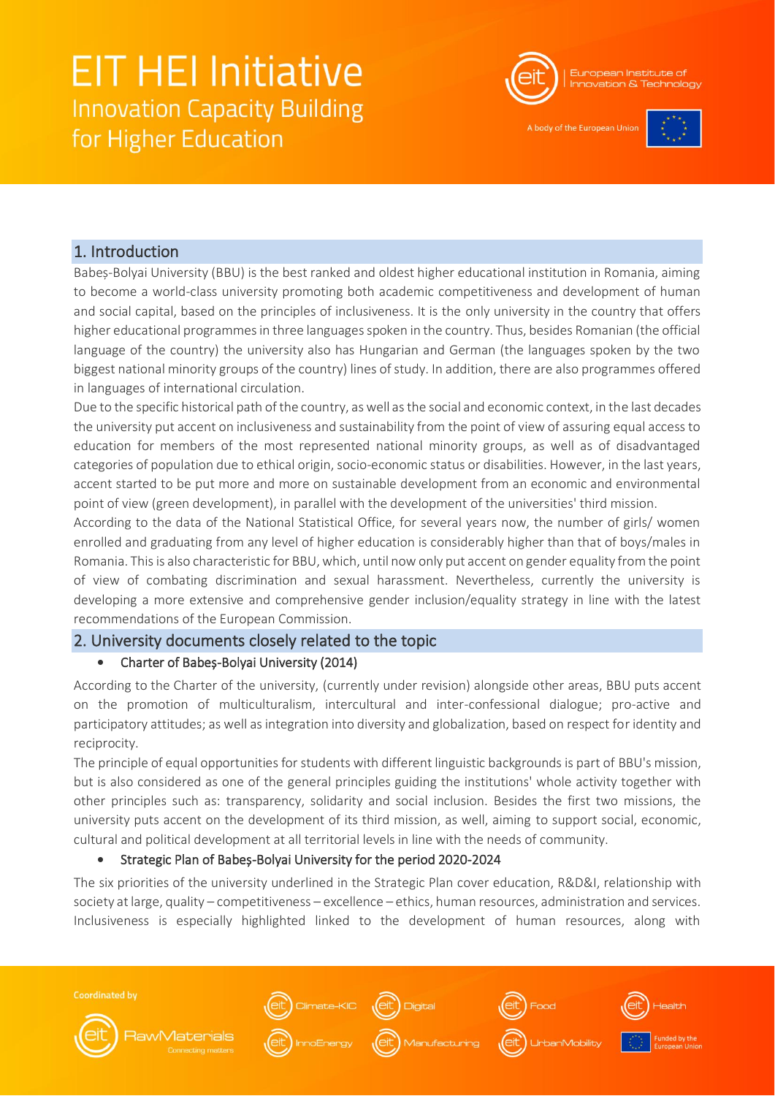

A body of the European Unio



### 1. Introduction

Babeș-Bolyai University (BBU) is the best ranked and oldest higher educational institution in Romania, aiming to become a world-class university promoting both academic competitiveness and development of human and social capital, based on the principles of inclusiveness. It is the only university in the country that offers higher educational programmes in three languages spoken in the country. Thus, besides Romanian (the official language of the country) the university also has Hungarian and German (the languages spoken by the two biggest national minority groups of the country) lines of study. In addition, there are also programmes offered in languages of international circulation.

Due to the specific historical path of the country, as well as the social and economic context, in the last decades the university put accent on inclusiveness and sustainability from the point of view of assuring equal access to education for members of the most represented national minority groups, as well as of disadvantaged categories of population due to ethical origin, socio-economic status or disabilities. However, in the last years, accent started to be put more and more on sustainable development from an economic and environmental point of view (green development), in parallel with the development of the universities' third mission.

According to the data of the National Statistical Office, for several years now, the number of girls/ women enrolled and graduating from any level of higher education is considerably higher than that of boys/males in Romania. This is also characteristic for BBU, which, until now only put accent on gender equality from the point of view of combating discrimination and sexual harassment. Nevertheless, currently the university is developing a more extensive and comprehensive gender inclusion/equality strategy in line with the latest recommendations of the European Commission.

### 2. University documents closely related to the topic

### • Charter of Babeș-Bolyai University (2014)

According to the Charter of the university, (currently under revision) alongside other areas, BBU puts accent on the promotion of multiculturalism, intercultural and inter-confessional dialogue; pro-active and participatory attitudes; as well as integration into diversity and globalization, based on respect for identity and reciprocity.

The principle of equal opportunities for students with different linguistic backgrounds is part of BBU's mission, but is also considered as one of the general principles guiding the institutions' whole activity together with other principles such as: transparency, solidarity and social inclusion. Besides the first two missions, the university puts accent on the development of its third mission, as well, aiming to support social, economic, cultural and political development at all territorial levels in line with the needs of community.

### • Strategic Plan of Babeș-Bolyai University for the period 2020-2024

The six priorities of the university underlined in the Strategic Plan cover education, R&D&I, relationship with society at large, quality – competitiveness – excellence – ethics, human resources, administration and services. Inclusiveness is especially highlighted linked to the development of human resources, along with

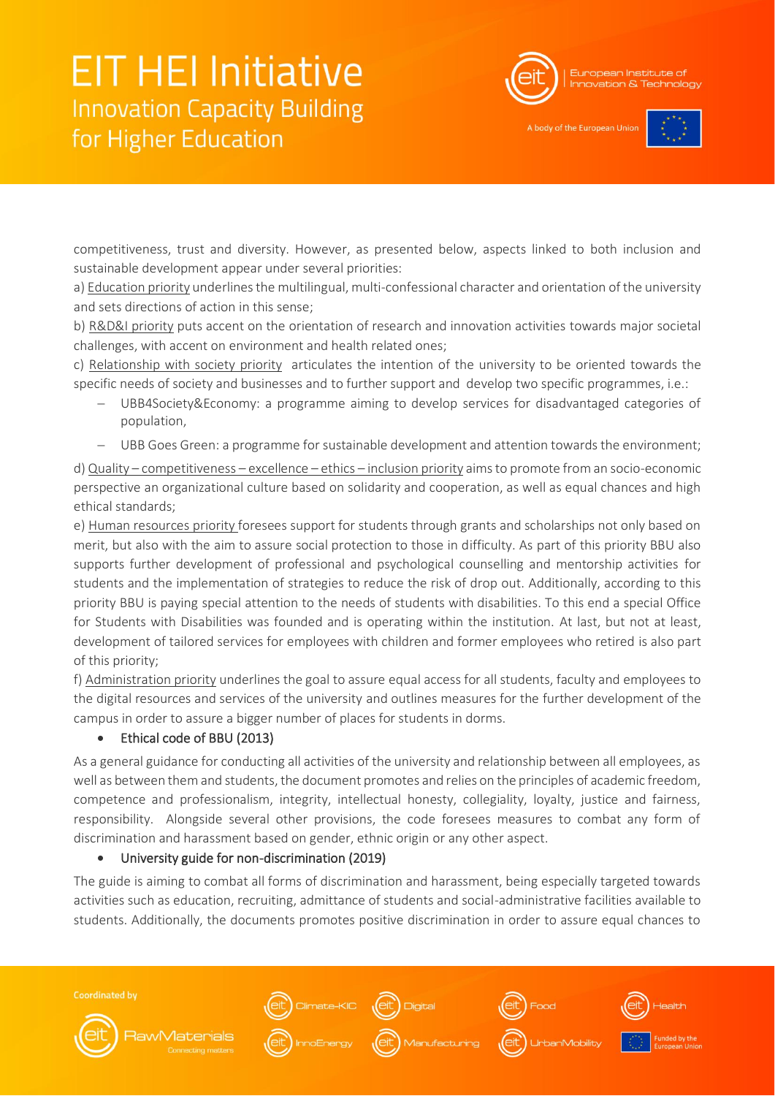

A body of the European Unio



competitiveness, trust and diversity. However, as presented below, aspects linked to both inclusion and sustainable development appear under several priorities:

a) Education priority underlines the multilingual, multi-confessional character and orientation of the university and sets directions of action in this sense;

b) R&D&I priority puts accent on the orientation of research and innovation activities towards major societal challenges, with accent on environment and health related ones;

c) Relationship with society priority articulates the intention of the university to be oriented towards the specific needs of society and businesses and to further support and develop two specific programmes, i.e.:

- UBB4Society&Economy: a programme aiming to develop services for disadvantaged categories of population,
- − UBB Goes Green: a programme for sustainable development and attention towards the environment;

d) Quality – competitiveness – excellence – ethics – inclusion priority aims to promote from an socio-economic perspective an organizational culture based on solidarity and cooperation, as well as equal chances and high ethical standards;

e) Human resources priority foresees support for students through grants and scholarships not only based on merit, but also with the aim to assure social protection to those in difficulty. As part of this priority BBU also supports further development of professional and psychological counselling and mentorship activities for students and the implementation of strategies to reduce the risk of drop out. Additionally, according to this priority BBU is paying special attention to the needs of students with disabilities. To this end a special Office for Students with Disabilities was founded and is operating within the institution. At last, but not at least, development of tailored services for employees with children and former employees who retired is also part of this priority;

f) Administration priority underlines the goal to assure equal access for all students, faculty and employees to the digital resources and services of the university and outlines measures for the further development of the campus in order to assure a bigger number of places for students in dorms.

#### • Ethical code of BBU (2013)

As a general guidance for conducting all activities of the university and relationship between all employees, as well as between them and students, the document promotes and relies on the principles of academic freedom, competence and professionalism, integrity, intellectual honesty, collegiality, loyalty, justice and fairness, responsibility. Alongside several other provisions, the code foresees measures to combat any form of discrimination and harassment based on gender, ethnic origin or any other aspect.

#### • University guide for non-discrimination (2019)

The guide is aiming to combat all forms of discrimination and harassment, being especially targeted towards activities such as education, recruiting, admittance of students and social-administrative facilities available to students. Additionally, the documents promotes positive discrimination in order to assure equal chances to

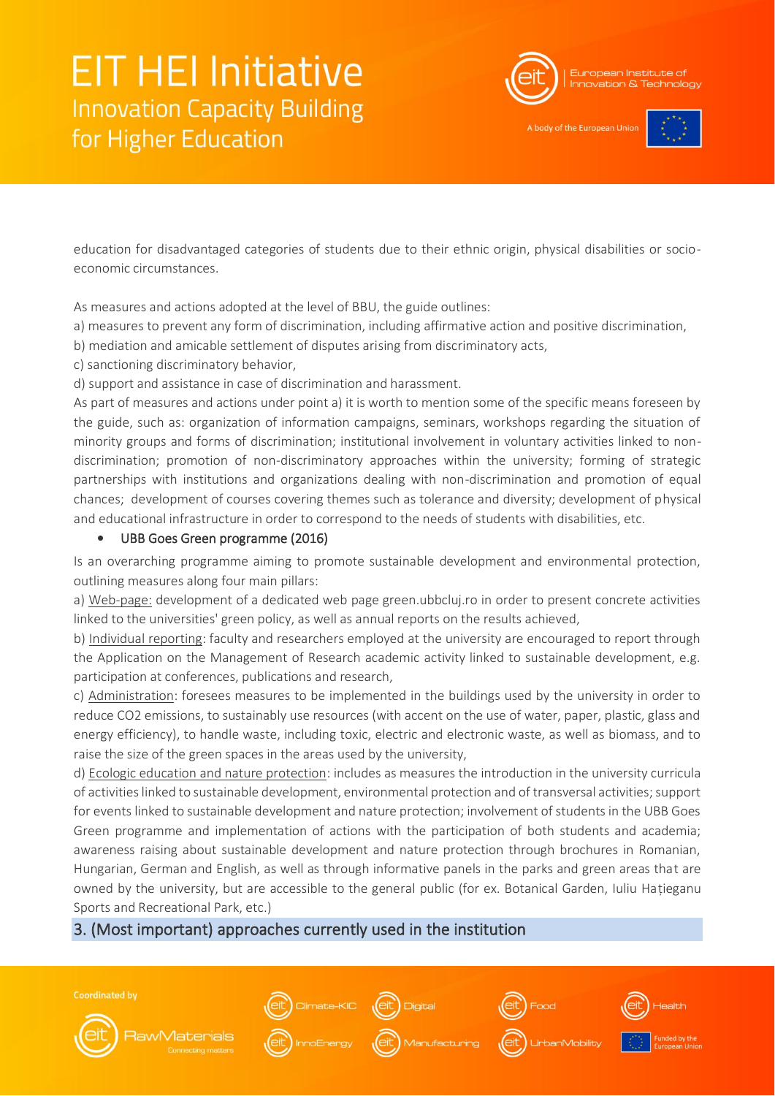

A body of the European Unio



education for disadvantaged categories of students due to their ethnic origin, physical disabilities or socioeconomic circumstances.

As measures and actions adopted at the level of BBU, the guide outlines:

a) measures to prevent any form of discrimination, including affirmative action and positive discrimination,

b) mediation and amicable settlement of disputes arising from discriminatory acts,

c) sanctioning discriminatory behavior,

d) support and assistance in case of discrimination and harassment.

As part of measures and actions under point a) it is worth to mention some of the specific means foreseen by the guide, such as: organization of information campaigns, seminars, workshops regarding the situation of minority groups and forms of discrimination; institutional involvement in voluntary activities linked to nondiscrimination; promotion of non-discriminatory approaches within the university; forming of strategic partnerships with institutions and organizations dealing with non-discrimination and promotion of equal chances; development of courses covering themes such as tolerance and diversity; development of physical and educational infrastructure in order to correspond to the needs of students with disabilities, etc.

### • UBB Goes Green programme (2016)

Is an overarching programme aiming to promote sustainable development and environmental protection, outlining measures along four main pillars:

a) Web-page: development of a dedicated web page green.ubbcluj.ro in order to present concrete activities linked to the universities' green policy, as well as annual reports on the results achieved,

b) Individual reporting: faculty and researchers employed at the university are encouraged to report through the Application on the Management of Research academic activity linked to sustainable development, e.g. participation at conferences, publications and research,

c) Administration: foresees measures to be implemented in the buildings used by the university in order to reduce CO2 emissions, to sustainably use resources (with accent on the use of water, paper, plastic, glass and energy efficiency), to handle waste, including toxic, electric and electronic waste, as well as biomass, and to raise the size of the green spaces in the areas used by the university,

d) Ecologic education and nature protection: includes as measures the introduction in the university curricula of activities linked to sustainable development, environmental protection and of transversal activities; support for events linked to sustainable development and nature protection; involvement of students in the UBB Goes Green programme and implementation of actions with the participation of both students and academia; awareness raising about sustainable development and nature protection through brochures in Romanian, Hungarian, German and English, as well as through informative panels in the parks and green areas that are owned by the university, but are accessible to the general public (for ex. Botanical Garden, Iuliu Hațieganu Sports and Recreational Park, etc.)

### 3. (Most important) approaches currently used in the institution

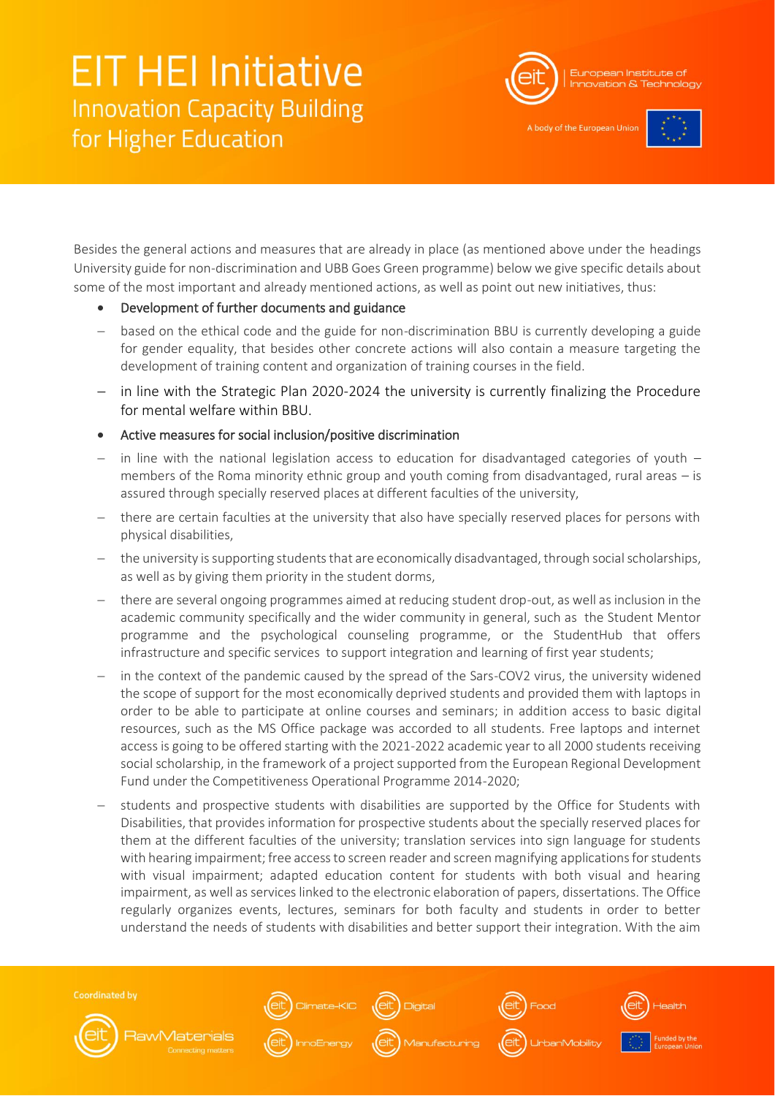

A body of the European Unio



Besides the general actions and measures that are already in place (as mentioned above under the headings University guide for non-discrimination and UBB Goes Green programme) below we give specific details about some of the most important and already mentioned actions, as well as point out new initiatives, thus:

- Development of further documents and guidance
- based on the ethical code and the guide for non-discrimination BBU is currently developing a guide for gender equality, that besides other concrete actions will also contain a measure targeting the development of training content and organization of training courses in the field.
- in line with the Strategic Plan 2020-2024 the university is currently finalizing the Procedure for mental welfare within BBU.
- Active measures for social inclusion/positive discrimination
- − in line with the national legislation access to education for disadvantaged categories of youth members of the Roma minority ethnic group and youth coming from disadvantaged, rural areas – is assured through specially reserved places at different faculties of the university,
- there are certain faculties at the university that also have specially reserved places for persons with physical disabilities,
- the university is supporting students that are economically disadvantaged, through social scholarships, as well as by giving them priority in the student dorms,
- there are several ongoing programmes aimed at reducing student drop-out, as well as inclusion in the academic community specifically and the wider community in general, such as the Student Mentor programme and the psychological counseling programme, or the StudentHub that offers infrastructure and specific services to support integration and learning of first year students;
- in the context of the pandemic caused by the spread of the Sars-COV2 virus, the university widened the scope of support for the most economically deprived students and provided them with laptops in order to be able to participate at online courses and seminars; in addition access to basic digital resources, such as the MS Office package was accorded to all students. Free laptops and internet access is going to be offered starting with the 2021-2022 academic year to all 2000 students receiving social scholarship, in the framework of a project supported from the European Regional Development Fund under the Competitiveness Operational Programme 2014-2020;
- students and prospective students with disabilities are supported by the Office for Students with Disabilities, that provides information for prospective students about the specially reserved places for them at the different faculties of the university; translation services into sign language for students with hearing impairment; free access to screen reader and screen magnifying applications for students with visual impairment; adapted education content for students with both visual and hearing impairment, as well as services linked to the electronic elaboration of papers, dissertations. The Office regularly organizes events, lectures, seminars for both faculty and students in order to better understand the needs of students with disabilities and better support their integration. With the aim

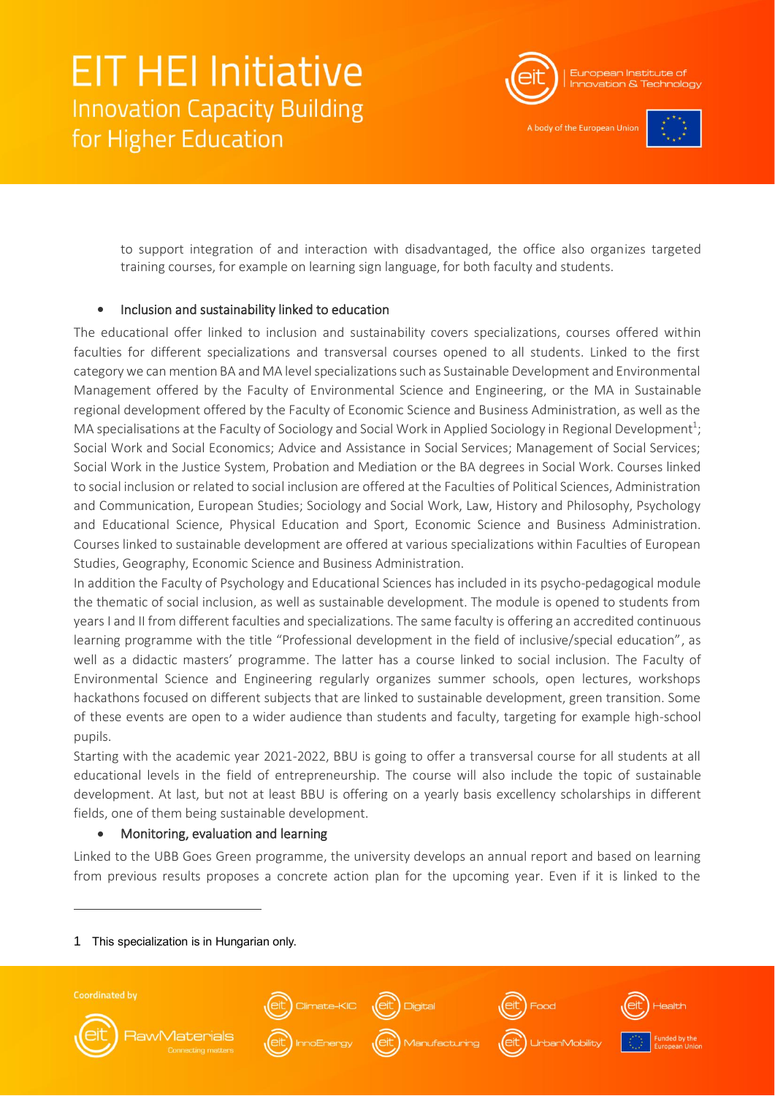

A body of the European Uni-



to support integration of and interaction with disadvantaged, the office also organizes targeted training courses, for example on learning sign language, for both faculty and students.

#### • Inclusion and sustainability linked to education

The educational offer linked to inclusion and sustainability covers specializations, courses offered within faculties for different specializations and transversal courses opened to all students. Linked to the first category we can mention BA and MA level specializations such as Sustainable Development and Environmental Management offered by the Faculty of Environmental Science and Engineering, or the MA in Sustainable regional development offered by the Faculty of Economic Science and Business Administration, as well as the MA specialisations at the Faculty of Sociology and Social Work in Applied Sociology in Regional Development<sup>1</sup>; Social Work and Social Economics; Advice and Assistance in Social Services; Management of Social Services; Social Work in the Justice System, Probation and Mediation or the BA degrees in Social Work. Courses linked to social inclusion or related to social inclusion are offered at the Faculties of Political Sciences, Administration and Communication, European Studies; Sociology and Social Work, Law, History and Philosophy, Psychology and Educational Science, Physical Education and Sport, Economic Science and Business Administration. Courses linked to sustainable development are offered at various specializations within Faculties of European Studies, Geography, Economic Science and Business Administration.

In addition the Faculty of Psychology and Educational Sciences has included in its psycho-pedagogical module the thematic of social inclusion, as well as sustainable development. The module is opened to students from years I and II from different faculties and specializations. The same faculty is offering an accredited continuous learning programme with the title "Professional development in the field of inclusive/special education", as well as a didactic masters' programme. The latter has a course linked to social inclusion. The Faculty of Environmental Science and Engineering regularly organizes summer schools, open lectures, workshops hackathons focused on different subjects that are linked to sustainable development, green transition. Some of these events are open to a wider audience than students and faculty, targeting for example high-school pupils.

Starting with the academic year 2021-2022, BBU is going to offer a transversal course for all students at all educational levels in the field of entrepreneurship. The course will also include the topic of sustainable development. At last, but not at least BBU is offering on a yearly basis excellency scholarships in different fields, one of them being sustainable development.

#### • Monitoring, evaluation and learning

Linked to the UBB Goes Green programme, the university develops an annual report and based on learning from previous results proposes a concrete action plan for the upcoming year. Even if it is linked to the

1 This specialization is in Hungarian only.

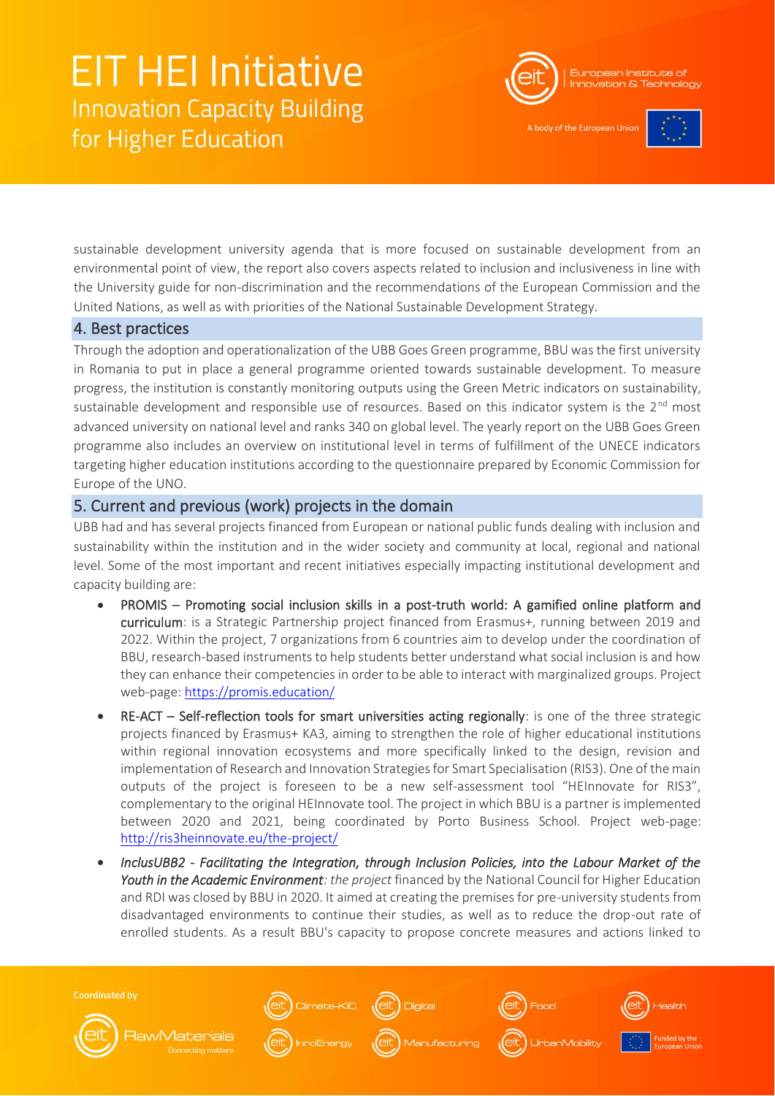

A body of the European Unio



sustainable development university agenda that is more focused on sustainable development from an environmental point of view, the report also covers aspects related to inclusion and inclusiveness in line with the University guide for non-discrimination and the recommendations of the European Commission and the United Nations, as well as with priorities of the National Sustainable Development Strategy.

### 4. Best practices

Through the adoption and operationalization of the UBB Goes Green programme, BBU was the first university in Romania to put in place a general programme oriented towards sustainable development. To measure progress, the institution is constantly monitoring outputs using the Green Metric indicators on sustainability, sustainable development and responsible use of resources. Based on this indicator system is the  $2^{nd}$  most advanced university on national level and ranks 340 on global level. The yearly report on the UBB Goes Green programme also includes an overview on institutional level in terms of fulfillment of the UNECE indicators targeting higher education institutions according to the questionnaire prepared by Economic Commission for Europe of the UNO.

### 5. Current and previous (work) projects in the domain

UBB had and has several projects financed from European or national public funds dealing with inclusion and sustainability within the institution and in the wider society and community at local, regional and national level. Some of the most important and recent initiatives especially impacting institutional development and capacity building are:

- PROMIS Promoting social inclusion skills in a post-truth world: A gamified online platform and curriculum: is a Strategic Partnership project financed from Erasmus+, running between 2019 and 2022. Within the project, 7 organizations from 6 countries aim to develop under the coordination of BBU, research-based instruments to help students better understand what social inclusion is and how they can enhance their competencies in order to be able to interact with marginalized groups. Project web-page:<https://promis.education/>
- RE-ACT Self-reflection tools for smart universities acting regionally: is one of the three strategic projects financed by Erasmus+ KA3, aiming to strengthen the role of higher educational institutions within regional innovation ecosystems and more specifically linked to the design, revision and implementation of Research and Innovation Strategies for Smart Specialisation (RIS3). One of the main outputs of the project is foreseen to be a new self-assessment tool "HEInnovate for RIS3", complementary to the original HEInnovate tool. The project in which BBU is a partner is implemented between 2020 and 2021, being coordinated by Porto Business School. Project web-page: <http://ris3heinnovate.eu/the-project/>
- *InclusUBB2 Facilitating the Integration, through Inclusion Policies, into the Labour Market of the Youth in the Academic Environment: the project* financed by the National Council for Higher Education and RDI was closed by BBU in 2020. It aimed at creating the premises for pre-university students from disadvantaged environments to continue their studies, as well as to reduce the drop-out rate of enrolled students. As a result BBU's capacity to propose concrete measures and actions linked to